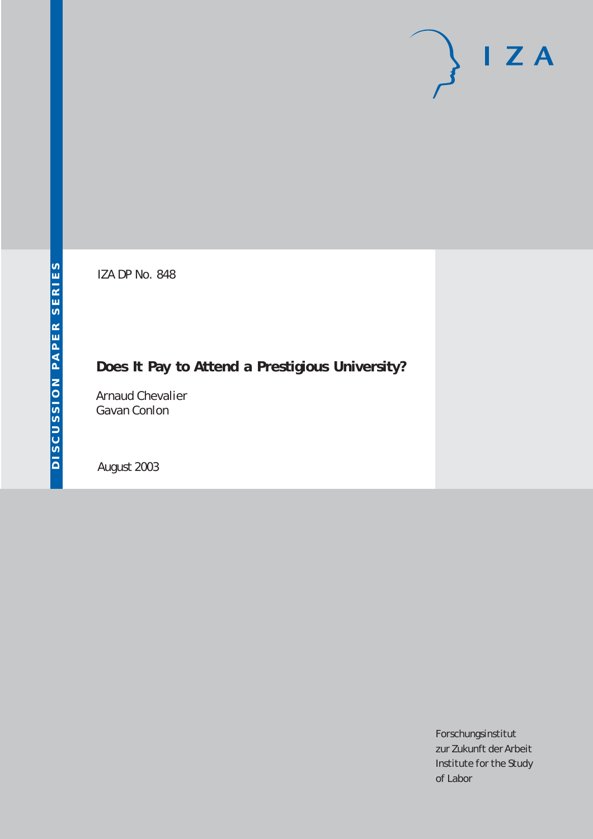# $I Z A$

IZA DP No. 848

## **Does It Pay to Attend a Prestigious University?**

Arnaud Chevalier Gavan Conlon

August 2003

Forschungsinstitut zur Zukunft der Arbeit Institute for the Study of Labor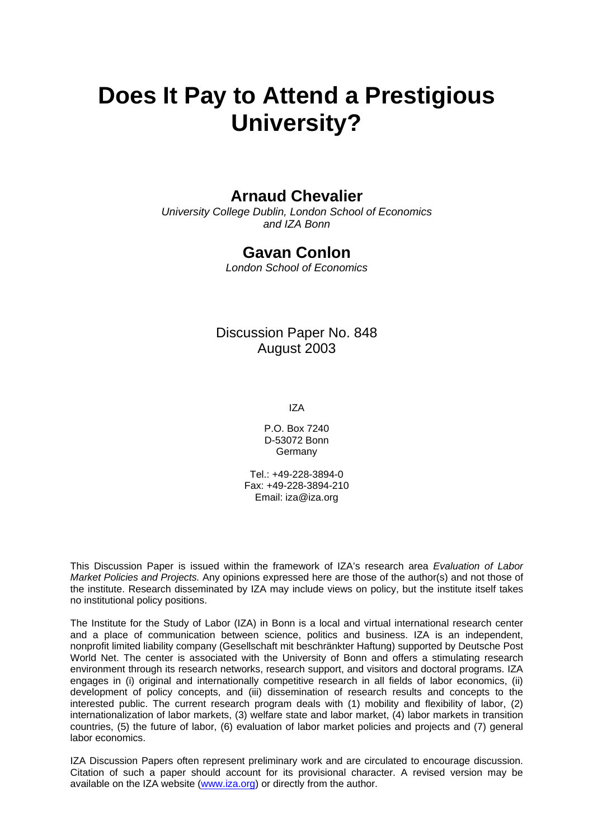# **Does It Pay to Attend a Prestigious University?**

### **Arnaud Chevalier**

*University College Dublin, London School of Economics and IZA Bonn* 

#### **Gavan Conlon**

*London School of Economics* 

#### Discussion Paper No. 848 August 2003

IZA

P.O. Box 7240 D-53072 Bonn Germany

Tel.: +49-228-3894-0 Fax: +49-228-3894-210 Email: [iza@iza.org](mailto:iza@iza.org)

This Discussion Paper is issued within the framework of IZA's research area *Evaluation of Labor Market Policies and Projects.* Any opinions expressed here are those of the author(s) and not those of the institute. Research disseminated by IZA may include views on policy, but the institute itself takes no institutional policy positions.

The Institute for the Study of Labor (IZA) in Bonn is a local and virtual international research center and a place of communication between science, politics and business. IZA is an independent, nonprofit limited liability company (Gesellschaft mit beschränkter Haftung) supported by Deutsche Post World Net. The center is associated with the University of Bonn and offers a stimulating research environment through its research networks, research support, and visitors and doctoral programs. IZA engages in (i) original and internationally competitive research in all fields of labor economics, (ii) development of policy concepts, and (iii) dissemination of research results and concepts to the interested public. The current research program deals with (1) mobility and flexibility of labor, (2) internationalization of labor markets, (3) welfare state and labor market, (4) labor markets in transition countries, (5) the future of labor, (6) evaluation of labor market policies and projects and (7) general labor economics.

IZA Discussion Papers often represent preliminary work and are circulated to encourage discussion. Citation of such a paper should account for its provisional character. A revised version may be available on the IZA website ([www.iza.org](http://www.iza.org/)) or directly from the author.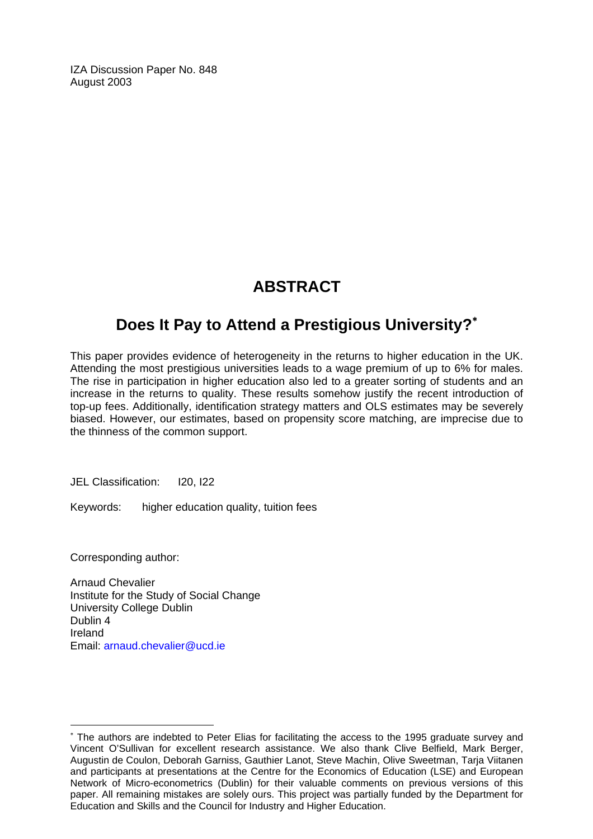IZA Discussion Paper No. 848 August 2003

## **ABSTRACT**

## **Does It Pay to Attend a Prestigious University?**[∗](#page-2-0)

This paper provides evidence of heterogeneity in the returns to higher education in the UK. Attending the most prestigious universities leads to a wage premium of up to 6% for males. The rise in participation in higher education also led to a greater sorting of students and an increase in the returns to quality. These results somehow justify the recent introduction of top-up fees. Additionally, identification strategy matters and OLS estimates may be severely biased. However, our estimates, based on propensity score matching, are imprecise due to the thinness of the common support.

JEL Classification: I20, I22

Keywords: higher education quality, tuition fees

Corresponding author:

 $\overline{a}$ 

Arnaud Chevalier Institute for the Study of Social Change University College Dublin Dublin 4 Ireland Email: [arnaud.chevalier@ucd.ie](mailto:arnaud.chevalier@ucd.ie)

<span id="page-2-0"></span><sup>∗</sup> The authors are indebted to Peter Elias for facilitating the access to the 1995 graduate survey and Vincent O'Sullivan for excellent research assistance. We also thank Clive Belfield, Mark Berger, Augustin de Coulon, Deborah Garniss, Gauthier Lanot, Steve Machin, Olive Sweetman, Tarja Viitanen and participants at presentations at the Centre for the Economics of Education (LSE) and European Network of Micro-econometrics (Dublin) for their valuable comments on previous versions of this paper. All remaining mistakes are solely ours. This project was partially funded by the Department for Education and Skills and the Council for Industry and Higher Education.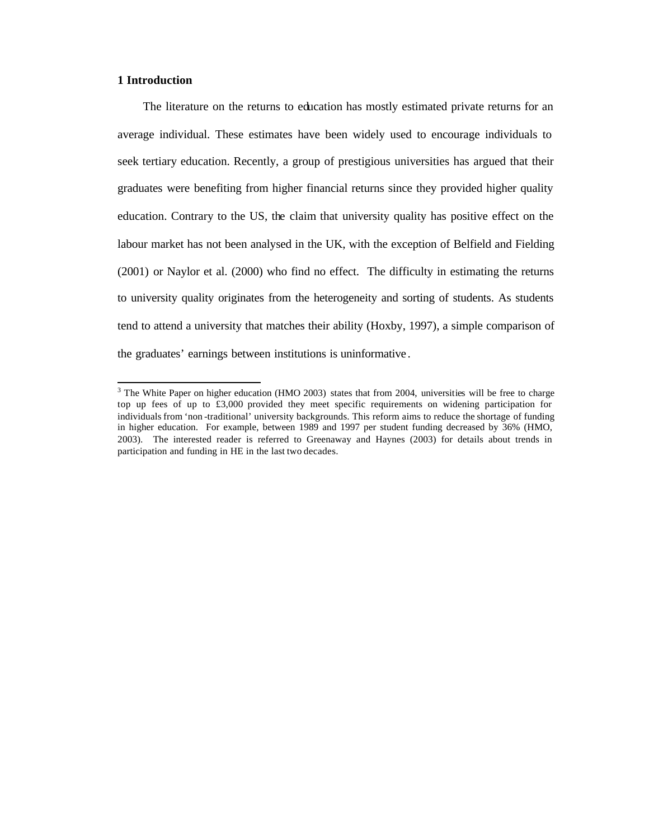#### **1 Introduction**

 $\overline{a}$ 

The literature on the returns to education has mostly estimated private returns for an average individual. These estimates have been widely used to encourage individuals to seek tertiary education. Recently, a group of prestigious universities has argued that their graduates were benefiting from higher financial returns since they provided higher quality education. Contrary to the US, the claim that university quality has positive effect on the labour market has not been analysed in the UK, with the exception of Belfield and Fielding (2001) or Naylor et al. (2000) who find no effect. The difficulty in estimating the returns to university quality originates from the heterogeneity and sorting of students. As students tend to attend a university that matches their ability (Hoxby, 1997), a simple comparison of the graduates' earnings between institutions is uninformative .

<sup>&</sup>lt;sup>3</sup> The White Paper on higher education (HMO 2003) states that from 2004, universities will be free to charge top up fees of up to £3,000 provided they meet specific requirements on widening participation for individuals from 'non -traditional' university backgrounds. This reform aims to reduce the shortage of funding in higher education. For example, between 1989 and 1997 per student funding decreased by 36% (HMO, 2003). The interested reader is referred to Greenaway and Haynes (2003) for details about trends in participation and funding in HE in the last two decades.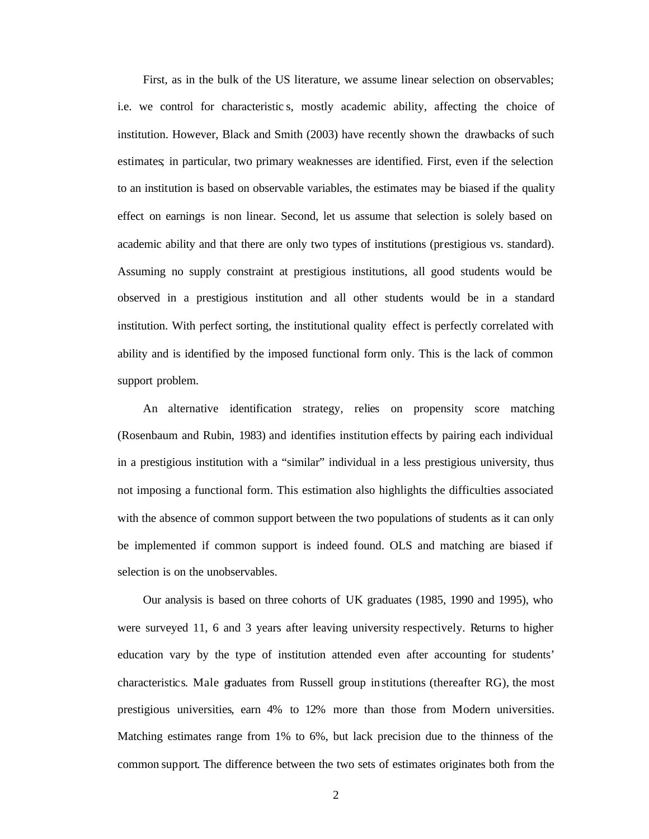First, as in the bulk of the US literature, we assume linear selection on observables; i.e. we control for characteristic s, mostly academic ability, affecting the choice of institution. However, Black and Smith (2003) have recently shown the drawbacks of such estimates; in particular, two primary weaknesses are identified. First, even if the selection to an institution is based on observable variables, the estimates may be biased if the quality effect on earnings is non linear. Second, let us assume that selection is solely based on academic ability and that there are only two types of institutions (prestigious vs. standard). Assuming no supply constraint at prestigious institutions, all good students would be observed in a prestigious institution and all other students would be in a standard institution. With perfect sorting, the institutional quality effect is perfectly correlated with ability and is identified by the imposed functional form only. This is the lack of common support problem.

An alternative identification strategy, relies on propensity score matching (Rosenbaum and Rubin, 1983) and identifies institution effects by pairing each individual in a prestigious institution with a "similar" individual in a less prestigious university, thus not imposing a functional form. This estimation also highlights the difficulties associated with the absence of common support between the two populations of students as it can only be implemented if common support is indeed found. OLS and matching are biased if selection is on the unobservables.

Our analysis is based on three cohorts of UK graduates (1985, 1990 and 1995), who were surveyed 11, 6 and 3 years after leaving university respectively. Returns to higher education vary by the type of institution attended even after accounting for students' characteristics. Male graduates from Russell group institutions (thereafter RG), the most prestigious universities, earn 4% to 12% more than those from Modern universities. Matching estimates range from 1% to 6%, but lack precision due to the thinness of the common support. The difference between the two sets of estimates originates both from the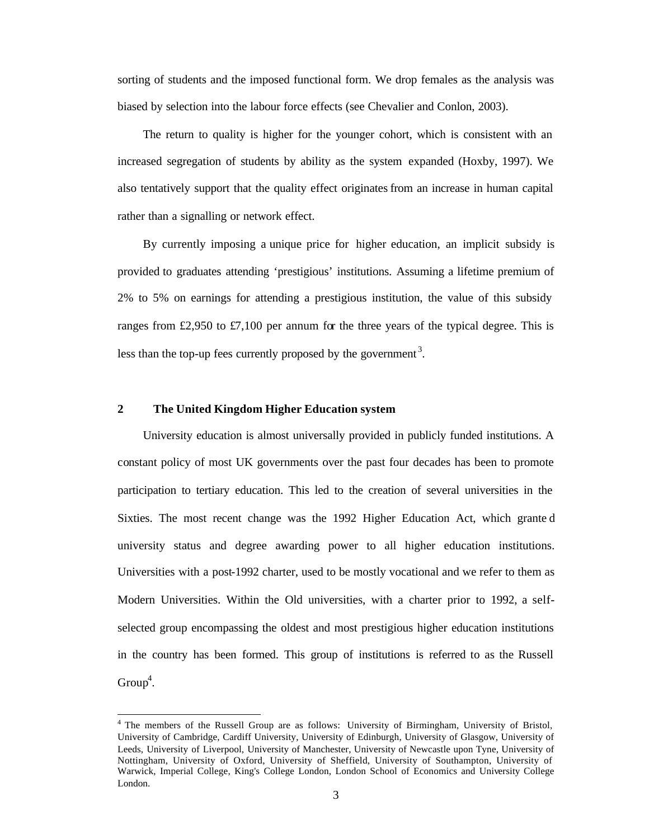sorting of students and the imposed functional form. We drop females as the analysis was biased by selection into the labour force effects (see Chevalier and Conlon, 2003).

The return to quality is higher for the younger cohort, which is consistent with an increased segregation of students by ability as the system expanded (Hoxby, 1997). We also tentatively support that the quality effect originates from an increase in human capital rather than a signalling or network effect.

By currently imposing a unique price for higher education, an implicit subsidy is provided to graduates attending 'prestigious' institutions. Assuming a lifetime premium of 2% to 5% on earnings for attending a prestigious institution, the value of this subsidy ranges from £2,950 to £7,100 per annum for the three years of the typical degree. This is less than the top-up fees currently proposed by the government<sup>3</sup>.

#### **2 The United Kingdom Higher Education system**

 $\overline{a}$ 

University education is almost universally provided in publicly funded institutions. A constant policy of most UK governments over the past four decades has been to promote participation to tertiary education. This led to the creation of several universities in the Sixties. The most recent change was the 1992 Higher Education Act, which grante d university status and degree awarding power to all higher education institutions. Universities with a post-1992 charter, used to be mostly vocational and we refer to them as Modern Universities. Within the Old universities, with a charter prior to 1992, a selfselected group encompassing the oldest and most prestigious higher education institutions in the country has been formed. This group of institutions is referred to as the Russell  $Group<sup>4</sup>$ .

<sup>4</sup> The members of the Russell Group are as follows: University of Birmingham, University of Bristol, University of Cambridge, Cardiff University, University of Edinburgh, University of Glasgow, University of Leeds, University of Liverpool, University of Manchester, University of Newcastle upon Tyne, University of Nottingham, University of Oxford, University of Sheffield, University of Southampton, University of Warwick, Imperial College, King's College London, London School of Economics and University College London.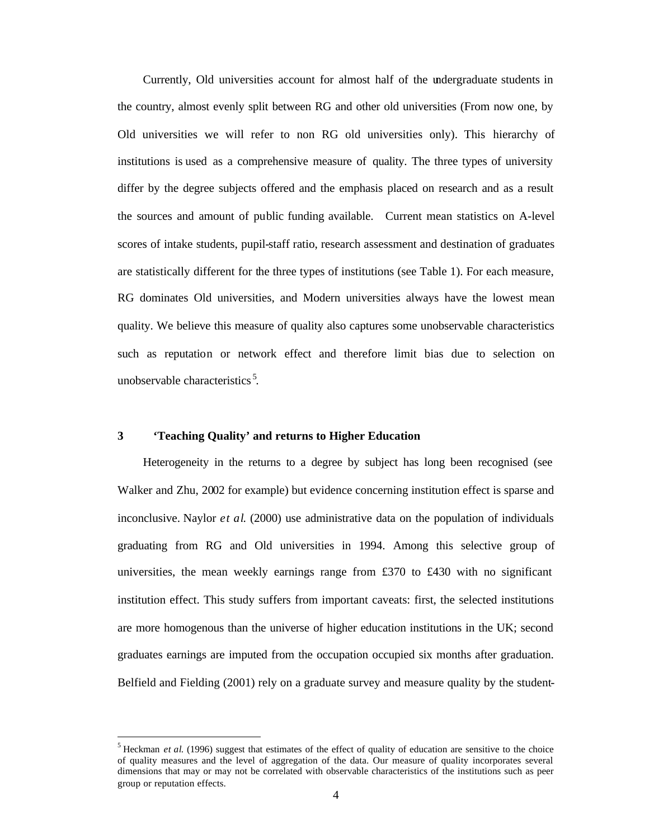Currently, Old universities account for almost half of the undergraduate students in the country, almost evenly split between RG and other old universities (From now one, by Old universities we will refer to non RG old universities only). This hierarchy of institutions is used as a comprehensive measure of quality. The three types of university differ by the degree subjects offered and the emphasis placed on research and as a result the sources and amount of public funding available. Current mean statistics on A-level scores of intake students, pupil-staff ratio, research assessment and destination of graduates are statistically different for the three types of institutions (see Table 1). For each measure, RG dominates Old universities, and Modern universities always have the lowest mean quality. We believe this measure of quality also captures some unobservable characteristics such as reputation or network effect and therefore limit bias due to selection on unobservable characteristics<sup>5</sup>.

#### **3 'Teaching Quality' and returns to Higher Education**

 $\overline{\phantom{a}}$ 

Heterogeneity in the returns to a degree by subject has long been recognised (see Walker and Zhu, 2002 for example) but evidence concerning institution effect is sparse and inconclusive. Naylor *et al*. (2000) use administrative data on the population of individuals graduating from RG and Old universities in 1994. Among this selective group of universities, the mean weekly earnings range from £370 to £430 with no significant institution effect. This study suffers from important caveats: first, the selected institutions are more homogenous than the universe of higher education institutions in the UK; second graduates earnings are imputed from the occupation occupied six months after graduation. Belfield and Fielding (2001) rely on a graduate survey and measure quality by the student-

<sup>&</sup>lt;sup>5</sup> Heckman *et al.* (1996) suggest that estimates of the effect of quality of education are sensitive to the choice of quality measures and the level of aggregation of the data. Our measure of quality incorporates several dimensions that may or may not be correlated with observable characteristics of the institutions such as peer group or reputation effects.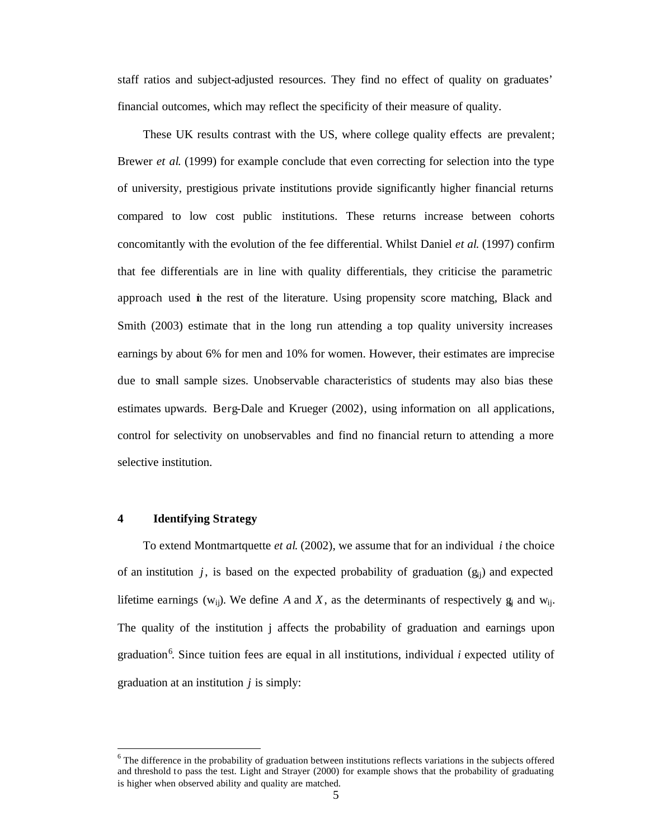staff ratios and subject-adjusted resources. They find no effect of quality on graduates' financial outcomes, which may reflect the specificity of their measure of quality.

These UK results contrast with the US, where college quality effects are prevalent; Brewer *et al*. (1999) for example conclude that even correcting for selection into the type of university, prestigious private institutions provide significantly higher financial returns compared to low cost public institutions. These returns increase between cohorts concomitantly with the evolution of the fee differential. Whilst Daniel *et al*. (1997) confirm that fee differentials are in line with quality differentials, they criticise the parametric approach used in the rest of the literature. Using propensity score matching, Black and Smith (2003) estimate that in the long run attending a top quality university increases earnings by about 6% for men and 10% for women. However, their estimates are imprecise due to small sample sizes. Unobservable characteristics of students may also bias these estimates upwards. Berg-Dale and Krueger (2002), using information on all applications, control for selectivity on unobservables and find no financial return to attending a more selective institution.

#### **4 Identifying Strategy**

 $\overline{\phantom{a}}$ 

To extend Montmartquette *et al*. (2002), we assume that for an individual *i* the choice of an institution *j*, is based on the expected probability of graduation  $(g_{ii})$  and expected lifetime earnings ( $w_{ij}$ ). We define *A* and *X*, as the determinants of respectively  $g_{ij}$  and  $w_{ji}$ . The quality of the institution j affects the probability of graduation and earnings upon graduation<sup>6</sup>. Since tuition fees are equal in all institutions, individual *i* expected utility of graduation at an institution *j* is simply:

 $6$  The difference in the probability of graduation between institutions reflects variations in the subjects offered and threshold to pass the test. Light and Strayer (2000) for example shows that the probability of graduating is higher when observed ability and quality are matched.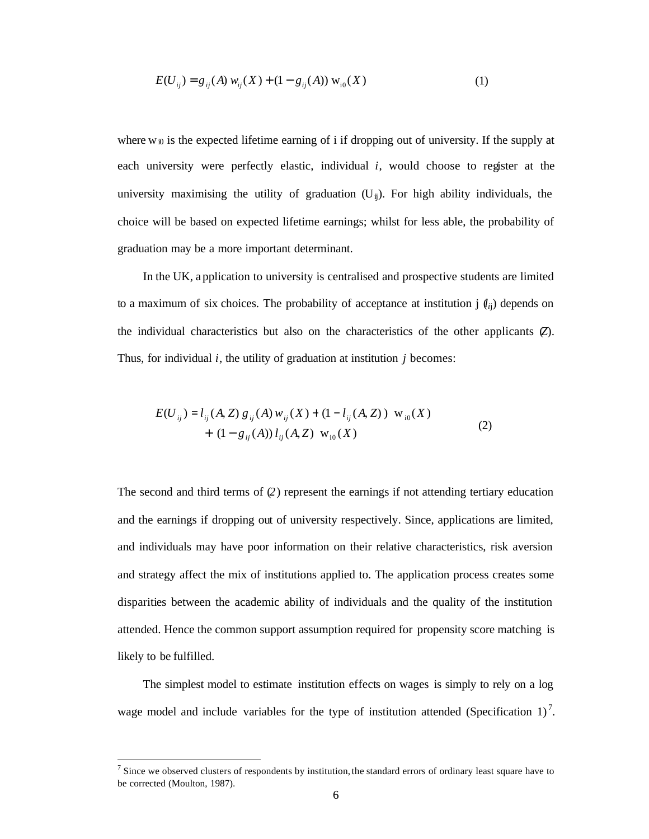$$
E(U_{ij}) = g_{ij}(A) w_{ij}(X) + (1 - g_{ij}(A)) w_{i0}(X)
$$
 (1)

where  $w_{i0}$  is the expected lifetime earning of i if dropping out of university. If the supply at each university were perfectly elastic, individual *i*, would choose to register at the university maximising the utility of graduation  $(U_{ii})$ . For high ability individuals, the choice will be based on expected lifetime earnings; whilst for less able, the probability of graduation may be a more important determinant.

In the UK, a pplication to university is centralised and prospective students are limited to a maximum of six choices. The probability of acceptance at institution  $j(\ell_i)$  depends on the individual characteristics but also on the characteristics of the other applicants (*Z*). Thus, for individual *i*, the utility of graduation at institution *j* becomes:

$$
E(U_{ij}) = l_{ij}(A, Z) g_{ij}(A) w_{ij}(X) + (1 - l_{ij}(A, Z)) w_{i0}(X) + (1 - g_{ij}(A)) l_{ij}(A, Z) w_{i0}(X)
$$
\n(2)

The second and third terms of (*2*) represent the earnings if not attending tertiary education and the earnings if dropping out of university respectively. Since, applications are limited, and individuals may have poor information on their relative characteristics, risk aversion and strategy affect the mix of institutions applied to. The application process creates some disparities between the academic ability of individuals and the quality of the institution attended. Hence the common support assumption required for propensity score matching is likely to be fulfilled.

The simplest model to estimate institution effects on wages is simply to rely on a log wage model and include variables for the type of institution attended (Specification 1)<sup>7</sup>.

 $<sup>7</sup>$  Since we observed clusters of respondents by institution, the standard errors of ordinary least square have to</sup> be corrected (Moulton, 1987).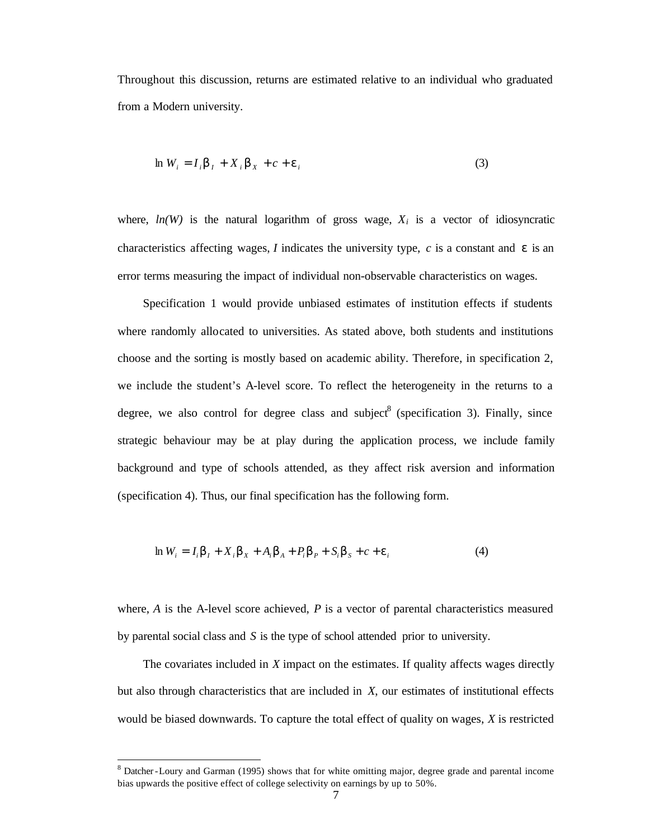Throughout this discussion, returns are estimated relative to an individual who graduated from a Modern university.

$$
\ln W_i = I_i \mathbf{b}_1 + X_i \mathbf{b}_x + c + \mathbf{e}_i
$$
\n(3)

where,  $ln(W)$  is the natural logarithm of gross wage,  $X_i$  is a vector of idiosyncratic characteristics affecting wages, *I* indicates the university type, *c* is a constant and  $\varepsilon$  is an error terms measuring the impact of individual non-observable characteristics on wages.

Specification 1 would provide unbiased estimates of institution effects if students where randomly allocated to universities. As stated above, both students and institutions choose and the sorting is mostly based on academic ability. Therefore, in specification 2, we include the student's A-level score. To reflect the heterogeneity in the returns to a degree, we also control for degree class and subject  $\delta$  (specification 3). Finally, since strategic behaviour may be at play during the application process, we include family background and type of schools attended, as they affect risk aversion and information (specification 4). Thus, our final specification has the following form.

$$
\ln W_i = I_i \mathbf{b}_I + X_i \mathbf{b}_X + A_i \mathbf{b}_A + P_i \mathbf{b}_P + S_i \mathbf{b}_S + c + \mathbf{e}_i
$$
 (4)

where, *A* is the A-level score achieved, *P* is a vector of parental characteristics measured by parental social class and *S* is the type of school attended prior to university.

The covariates included in *X* impact on the estimates. If quality affects wages directly but also through characteristics that are included in *X*, our estimates of institutional effects would be biased downwards. To capture the total effect of quality on wages, *X* is restricted

 $8$  Datcher-Loury and Garman (1995) shows that for white omitting major, degree grade and parental income bias upwards the positive effect of college selectivity on earnings by up to 50%.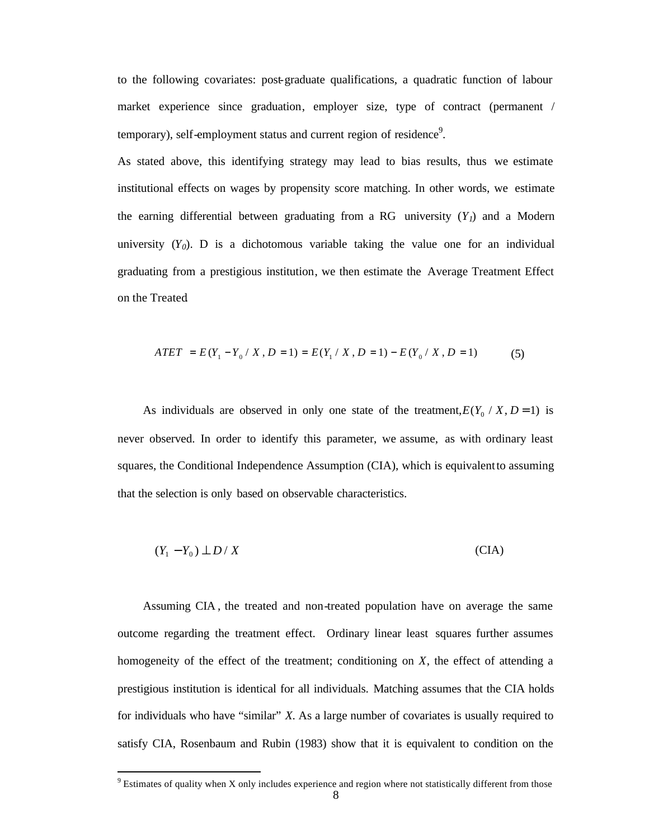to the following covariates: post-graduate qualifications, a quadratic function of labour market experience since graduation, employer size, type of contract (permanent / temporary), self-employment status and current region of residence<sup>9</sup>.

As stated above, this identifying strategy may lead to bias results, thus we estimate institutional effects on wages by propensity score matching. In other words, we estimate the earning differential between graduating from a RG university  $(Y_l)$  and a Modern university  $(Y_0)$ . D is a dichotomous variable taking the value one for an individual graduating from a prestigious institution, we then estimate the Average Treatment Effect on the Treated.

$$
ATET = E(Y_1 - Y_0 / X, D = 1) = E(Y_1 / X, D = 1) - E(Y_0 / X, D = 1)
$$
\n(5)

As individuals are observed in only one state of the treatment,  $E(Y_0 / X, D = 1)$  is never observed. In order to identify this parameter, we assume, as with ordinary least squares, the Conditional Independence Assumption (CIA), which is equivalent to assuming that the selection is only based on observable characteristics.

$$
(Y_1 - Y_0) \perp D / X \tag{CIA}
$$

Assuming CIA , the treated and non-treated population have on average the same outcome regarding the treatment effect. Ordinary linear least squares further assumes homogeneity of the effect of the treatment; conditioning on *X*, the effect of attending a prestigious institution is identical for all individuals. Matching assumes that the CIA holds for individuals who have "similar" *X*. As a large number of covariates is usually required to satisfy CIA, Rosenbaum and Rubin (1983) show that it is equivalent to condition on the

 $9$  Estimates of quality when X only includes experience and region where not statistically different from those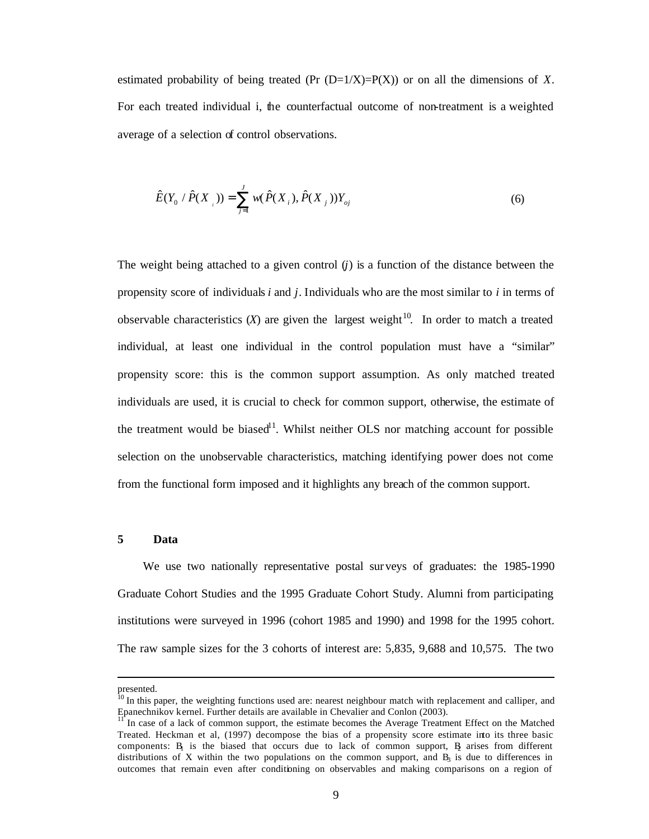estimated probability of being treated (Pr  $(D=1/X)=P(X)$ ) or on all the dimensions of X. For each treated individual i, the counterfactual outcome of non-treatment is a weighted average of a selection of control observations.

$$
\hat{E}(Y_0 \mid \hat{P}(X_{i}) ) = \sum_{j=1}^{J} w(\hat{P}(X_{i}), \hat{P}(X_{j})) Y_{oj}
$$
\n(6)

The weight being attached to a given control (*j*) is a function of the distance between the propensity score of individuals *i* and *j*. Individuals who are the most similar to *i* in terms of observable characteristics  $(X)$  are given the largest weight<sup>10</sup>. In order to match a treated individual, at least one individual in the control population must have a "similar" propensity score: this is the common support assumption. As only matched treated individuals are used, it is crucial to check for common support, otherwise, the estimate of the treatment would be biased<sup>11</sup>. Whilst neither OLS nor matching account for possible selection on the unobservable characteristics, matching identifying power does not come from the functional form imposed and it highlights any breach of the common support.

#### **5 Data**

We use two nationally representative postal surveys of graduates: the 1985-1990 Graduate Cohort Studies and the 1995 Graduate Cohort Study. Alumni from participating institutions were surveyed in 1996 (cohort 1985 and 1990) and 1998 for the 1995 cohort. The raw sample sizes for the 3 cohorts of interest are: 5,835, 9,688 and 10,575. The two

presented.

<sup>&</sup>lt;sup>10</sup> In this paper, the weighting functions used are: nearest neighbour match with replacement and calliper, and Epanechnikov kernel. Further details are available in Chevalier and Conlon (2003).

<sup>11</sup> In case of a lack of common support, the estimate becomes the Average Treatment Effect on the Matched Treated. Heckman et al, (1997) decompose the bias of a propensity score estimate into its three basic components: B<sub>1</sub> is the biased that occurs due to lack of common support, B<sub>2</sub> arises from different distributions of X within the two populations on the common support, and  $B<sub>3</sub>$  is due to differences in outcomes that remain even after conditioning on observables and making comparisons on a region of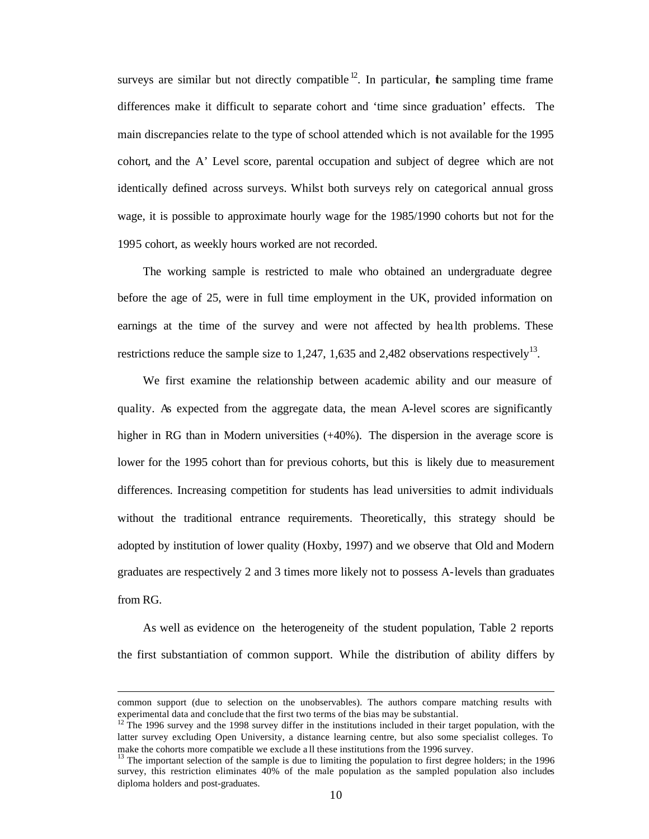surveys are similar but not directly compatible  $12$ . In particular, the sampling time frame differences make it difficult to separate cohort and 'time since graduation' effects. The main discrepancies relate to the type of school attended which is not available for the 1995 cohort, and the A' Level score, parental occupation and subject of degree which are not identically defined across surveys. Whilst both surveys rely on categorical annual gross wage, it is possible to approximate hourly wage for the 1985/1990 cohorts but not for the 1995 cohort, as weekly hours worked are not recorded.

The working sample is restricted to male who obtained an undergraduate degree before the age of 25, were in full time employment in the UK, provided information on earnings at the time of the survey and were not affected by hea lth problems. These restrictions reduce the sample size to 1,247, 1,635 and 2,482 observations respectively<sup>13</sup>.

We first examine the relationship between academic ability and our measure of quality. As expected from the aggregate data, the mean A-level scores are significantly higher in RG than in Modern universities  $(+40%)$ . The dispersion in the average score is lower for the 1995 cohort than for previous cohorts, but this is likely due to measurement differences. Increasing competition for students has lead universities to admit individuals without the traditional entrance requirements. Theoretically, this strategy should be adopted by institution of lower quality (Hoxby, 1997) and we observe that Old and Modern graduates are respectively 2 and 3 times more likely not to possess A-levels than graduates from RG.

As well as evidence on the heterogeneity of the student population, Table 2 reports the first substantiation of common support. While the distribution of ability differs by

 $\overline{a}$ 

common support (due to selection on the unobservables). The authors compare matching results with experimental data and conclude that the first two terms of the bias may be substantial.

 $12$  The 1996 survey and the 1998 survey differ in the institutions included in their target population, with the latter survey excluding Open University, a distance learning centre, but also some specialist colleges. To make the cohorts more compatible we exclude a ll these institutions from the 1996 survey.

 $13$  The important selection of the sample is due to limiting the population to first degree holders; in the 1996 survey, this restriction eliminates 40% of the male population as the sampled population also includes diploma holders and post-graduates.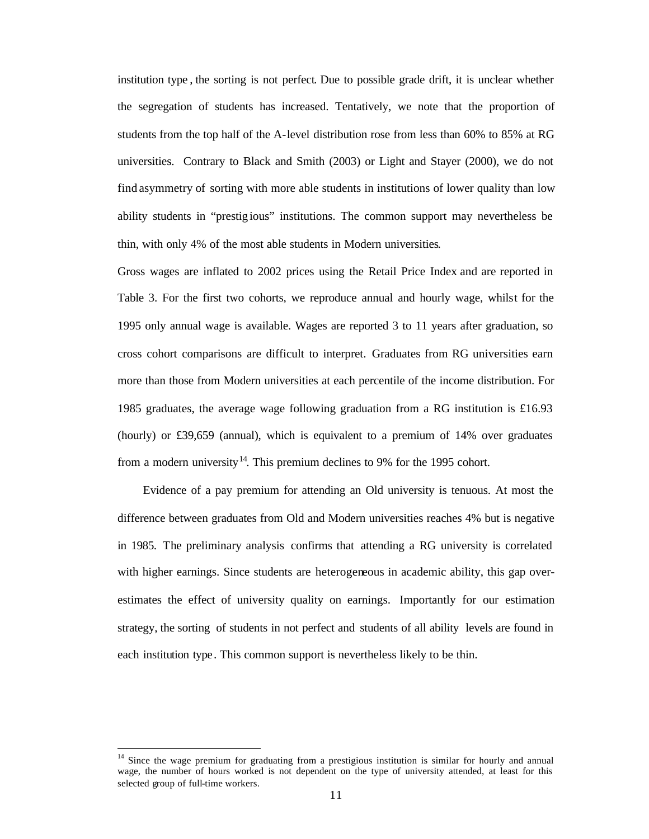institution type , the sorting is not perfect. Due to possible grade drift, it is unclear whether the segregation of students has increased. Tentatively, we note that the proportion of students from the top half of the A-level distribution rose from less than 60% to 85% at RG universities. Contrary to Black and Smith (2003) or Light and Stayer (2000), we do not find asymmetry of sorting with more able students in institutions of lower quality than low ability students in "prestig ious" institutions. The common support may nevertheless be thin, with only 4% of the most able students in Modern universities.

Gross wages are inflated to 2002 prices using the Retail Price Index and are reported in Table 3. For the first two cohorts, we reproduce annual and hourly wage, whilst for the 1995 only annual wage is available. Wages are reported 3 to 11 years after graduation, so cross cohort comparisons are difficult to interpret. Graduates from RG universities earn more than those from Modern universities at each percentile of the income distribution. For 1985 graduates, the average wage following graduation from a RG institution is £16.93 (hourly) or £39,659 (annual), which is equivalent to a premium of 14% over graduates from a modern university<sup>14</sup>. This premium declines to 9% for the 1995 cohort.

Evidence of a pay premium for attending an Old university is tenuous. At most the difference between graduates from Old and Modern universities reaches 4% but is negative in 1985. The preliminary analysis confirms that attending a RG university is correlated with higher earnings. Since students are heterogeneous in academic ability, this gap overestimates the effect of university quality on earnings. Importantly for our estimation strategy, the sorting of students in not perfect and students of all ability levels are found in each institution type. This common support is nevertheless likely to be thin.

<sup>14</sup> Since the wage premium for graduating from a prestigious institution is similar for hourly and annual wage, the number of hours worked is not dependent on the type of university attended, at least for this selected group of full-time workers.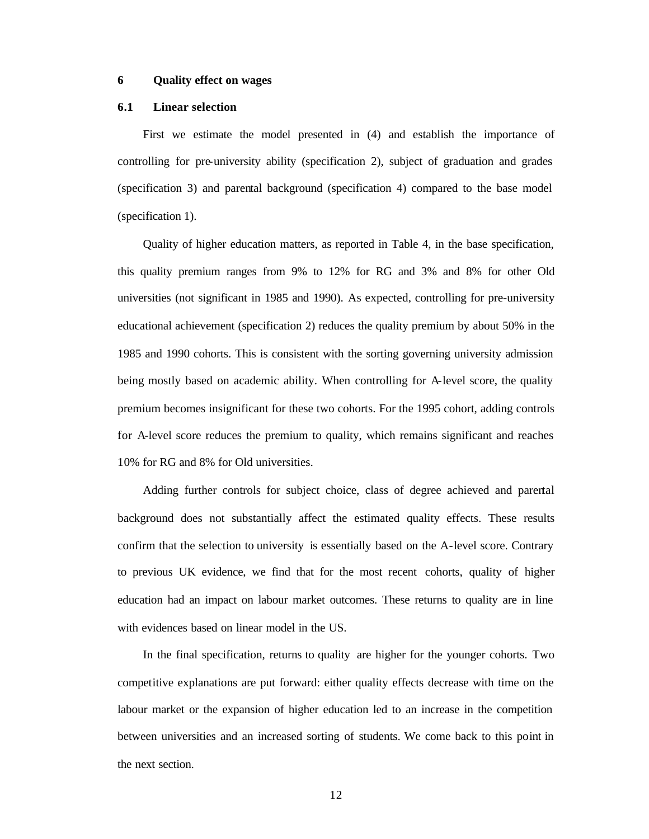#### **6 Quality effect on wages**

#### **6.1 Linear selection**

First we estimate the model presented in (4) and establish the importance of controlling for pre-university ability (specification 2), subject of graduation and grades (specification 3) and parental background (specification 4) compared to the base model (specification 1).

Quality of higher education matters, as reported in Table 4, in the base specification, this quality premium ranges from 9% to 12% for RG and 3% and 8% for other Old universities (not significant in 1985 and 1990). As expected, controlling for pre-university educational achievement (specification 2) reduces the quality premium by about 50% in the 1985 and 1990 cohorts. This is consistent with the sorting governing university admission being mostly based on academic ability. When controlling for A-level score, the quality premium becomes insignificant for these two cohorts. For the 1995 cohort, adding controls for A-level score reduces the premium to quality, which remains significant and reaches 10% for RG and 8% for Old universities.

Adding further controls for subject choice, class of degree achieved and parental background does not substantially affect the estimated quality effects. These results confirm that the selection to university is essentially based on the A-level score. Contrary to previous UK evidence, we find that for the most recent cohorts, quality of higher education had an impact on labour market outcomes. These returns to quality are in line with evidences based on linear model in the US.

In the final specification, returns to quality are higher for the younger cohorts. Two competitive explanations are put forward: either quality effects decrease with time on the labour market or the expansion of higher education led to an increase in the competition between universities and an increased sorting of students. We come back to this point in the next section.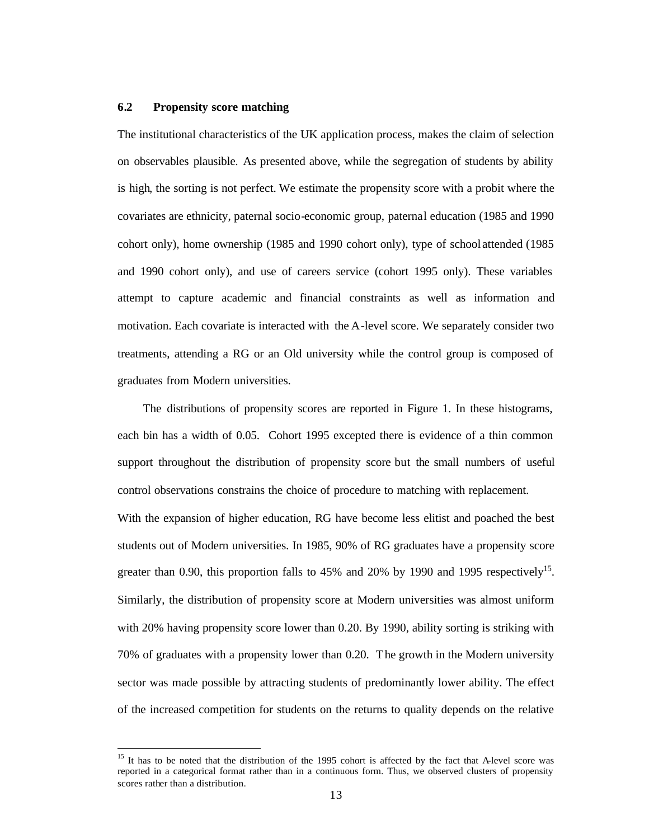#### **6.2 Propensity score matching**

 $\overline{\phantom{a}}$ 

The institutional characteristics of the UK application process, makes the claim of selection on observables plausible. As presented above, while the segregation of students by ability is high, the sorting is not perfect. We estimate the propensity score with a probit where the covariates are ethnicity, paternal socio-economic group, paternal education (1985 and 1990 cohort only), home ownership (1985 and 1990 cohort only), type of school attended (1985 and 1990 cohort only), and use of careers service (cohort 1995 only). These variables attempt to capture academic and financial constraints as well as information and motivation. Each covariate is interacted with the A-level score. We separately consider two treatments, attending a RG or an Old university while the control group is composed of graduates from Modern universities.

The distributions of propensity scores are reported in Figure 1. In these histograms, each bin has a width of 0.05. Cohort 1995 excepted there is evidence of a thin common support throughout the distribution of propensity score but the small numbers of useful control observations constrains the choice of procedure to matching with replacement. With the expansion of higher education, RG have become less elitist and poached the best students out of Modern universities. In 1985, 90% of RG graduates have a propensity score greater than 0.90, this proportion falls to  $45\%$  and  $20\%$  by 1990 and 1995 respectively<sup>15</sup>. Similarly, the distribution of propensity score at Modern universities was almost uniform with 20% having propensity score lower than 0.20. By 1990, ability sorting is striking with 70% of graduates with a propensity lower than 0.20. The growth in the Modern university sector was made possible by attracting students of predominantly lower ability. The effect of the increased competition for students on the returns to quality depends on the relative

<sup>&</sup>lt;sup>15</sup> It has to be noted that the distribution of the 1995 cohort is affected by the fact that A-level score was reported in a categorical format rather than in a continuous form. Thus, we observed clusters of propensity scores rather than a distribution.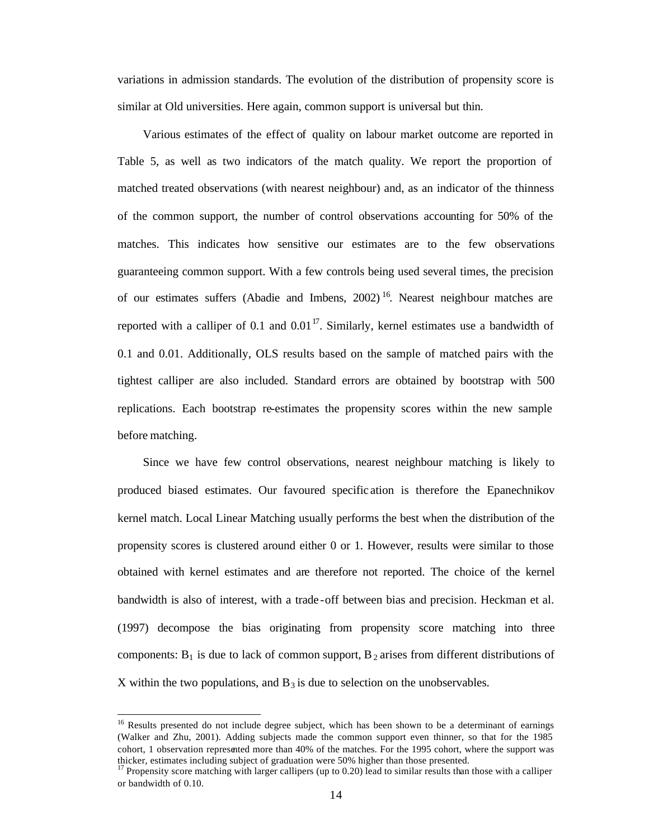variations in admission standards. The evolution of the distribution of propensity score is similar at Old universities. Here again, common support is universal but thin.

Various estimates of the effect of quality on labour market outcome are reported in Table 5, as well as two indicators of the match quality. We report the proportion of matched treated observations (with nearest neighbour) and, as an indicator of the thinness of the common support, the number of control observations accounting for 50% of the matches. This indicates how sensitive our estimates are to the few observations guaranteeing common support. With a few controls being used several times, the precision of our estimates suffers (Abadie and Imbens, 2002)<sup>16</sup>. Nearest neighbour matches are reported with a calliper of 0.1 and  $0.01<sup>17</sup>$ . Similarly, kernel estimates use a bandwidth of 0.1 and 0.01. Additionally, OLS results based on the sample of matched pairs with the tightest calliper are also included. Standard errors are obtained by bootstrap with 500 replications. Each bootstrap re-estimates the propensity scores within the new sample before matching.

Since we have few control observations, nearest neighbour matching is likely to produced biased estimates. Our favoured specific ation is therefore the Epanechnikov kernel match. Local Linear Matching usually performs the best when the distribution of the propensity scores is clustered around either 0 or 1. However, results were similar to those obtained with kernel estimates and are therefore not reported. The choice of the kernel bandwidth is also of interest, with a trade -off between bias and precision. Heckman et al. (1997) decompose the bias originating from propensity score matching into three components:  $B_1$  is due to lack of common support,  $B_2$  arises from different distributions of X within the two populations, and  $B_3$  is due to selection on the unobservables.

 $\overline{a}$ 

<sup>&</sup>lt;sup>16</sup> Results presented do not include degree subject, which has been shown to be a determinant of earnings (Walker and Zhu, 2001). Adding subjects made the common support even thinner, so that for the 1985 cohort, 1 observation represented more than 40% of the matches. For the 1995 cohort, where the support was thicker, estimates including subject of graduation were 50% higher than those presented.

<sup>&</sup>lt;sup>17</sup> Propensity score matching with larger callipers (up to 0.20) lead to similar results than those with a calliper or bandwidth of 0.10.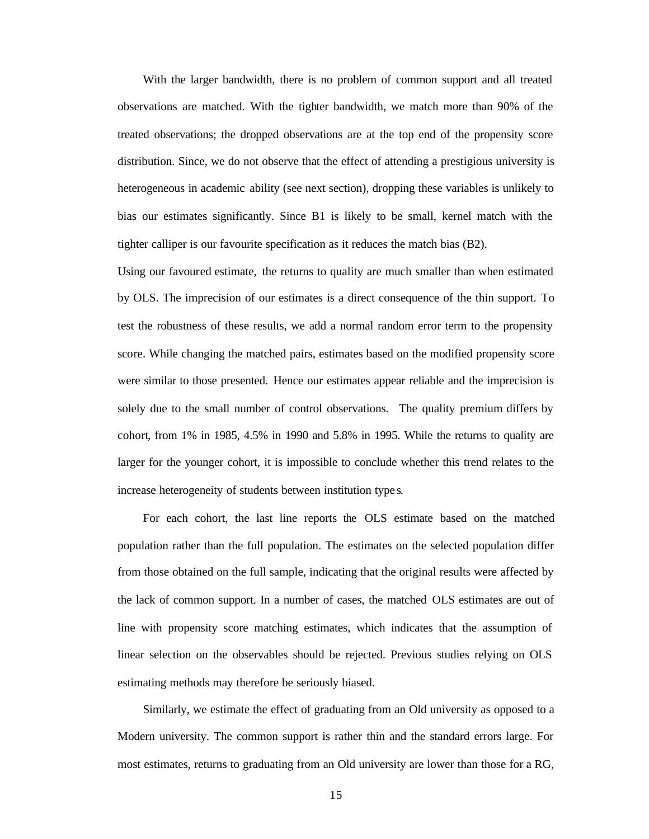With the larger bandwidth, there is no problem of common support and all treated observations are matched. With the tighter bandwidth, we match more than 90% of the treated observations; the dropped observations are at the top end of the propensity score distribution. Since, we do not observe that the effect of attending a prestigious university is heterogeneous in academic ability (see next section), dropping these variables is unlikely to bias our estimates significantly. Since B1 is likely to be small, kernel match with the tighter calliper is our favourite specification as it reduces the match bias (B2).

Using our favoured estimate, the returns to quality are much smaller than when estimated by OLS. The imprecision of our estimates is a direct consequence of the thin support. To test the robustness of these results, we add a normal random error term to the propensity score. While changing the matched pairs, estimates based on the modified propensity score were similar to those presented. Hence our estimates appear reliable and the imprecision is solely due to the small number of control observations. The quality premium differs by cohort, from 1% in 1985, 4.5% in 1990 and 5.8% in 1995. While the returns to quality are larger for the younger cohort, it is impossible to conclude whether this trend relates to the increase heterogeneity of students between institution type s.

For each cohort, the last line reports the OLS estimate based on the matched population rather than the full population. The estimates on the selected population differ from those obtained on the full sample, indicating that the original results were affected by the lack of common support. In a number of cases, the matched OLS estimates are out of line with propensity score matching estimates, which indicates that the assumption of linear selection on the observables should be rejected. Previous studies relying on OLS estimating methods may therefore be seriously biased.

Similarly, we estimate the effect of graduating from an Old university as opposed to a Modern university. The common support is rather thin and the standard errors large. For most estimates, returns to graduating from an Old university are lower than those for a RG,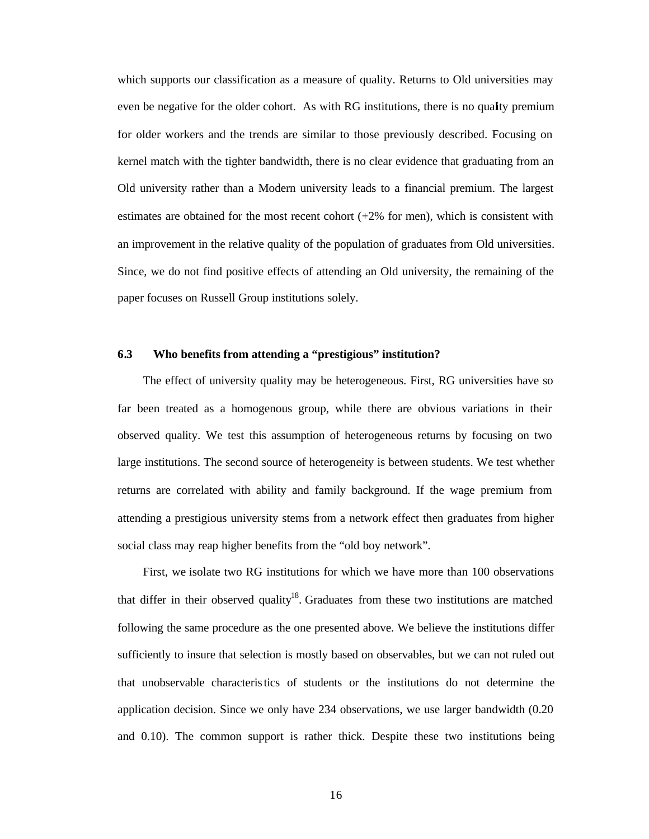which supports our classification as a measure of quality. Returns to Old universities may even be negative for the older cohort. As with RG institutions, there is no quality premium for older workers and the trends are similar to those previously described. Focusing on kernel match with the tighter bandwidth, there is no clear evidence that graduating from an Old university rather than a Modern university leads to a financial premium. The largest estimates are obtained for the most recent cohort  $(+2\%$  for men), which is consistent with an improvement in the relative quality of the population of graduates from Old universities. Since, we do not find positive effects of attending an Old university, the remaining of the paper focuses on Russell Group institutions solely.

#### **6.3 Who benefits from attending a "prestigious" institution?**

The effect of university quality may be heterogeneous. First, RG universities have so far been treated as a homogenous group, while there are obvious variations in their observed quality. We test this assumption of heterogeneous returns by focusing on two large institutions. The second source of heterogeneity is between students. We test whether returns are correlated with ability and family background. If the wage premium from attending a prestigious university stems from a network effect then graduates from higher social class may reap higher benefits from the "old boy network".

First, we isolate two RG institutions for which we have more than 100 observations that differ in their observed quality<sup>18</sup>. Graduates from these two institutions are matched following the same procedure as the one presented above. We believe the institutions differ sufficiently to insure that selection is mostly based on observables, but we can not ruled out that unobservable characteristics of students or the institutions do not determine the application decision. Since we only have 234 observations, we use larger bandwidth (0.20 and 0.10). The common support is rather thick. Despite these two institutions being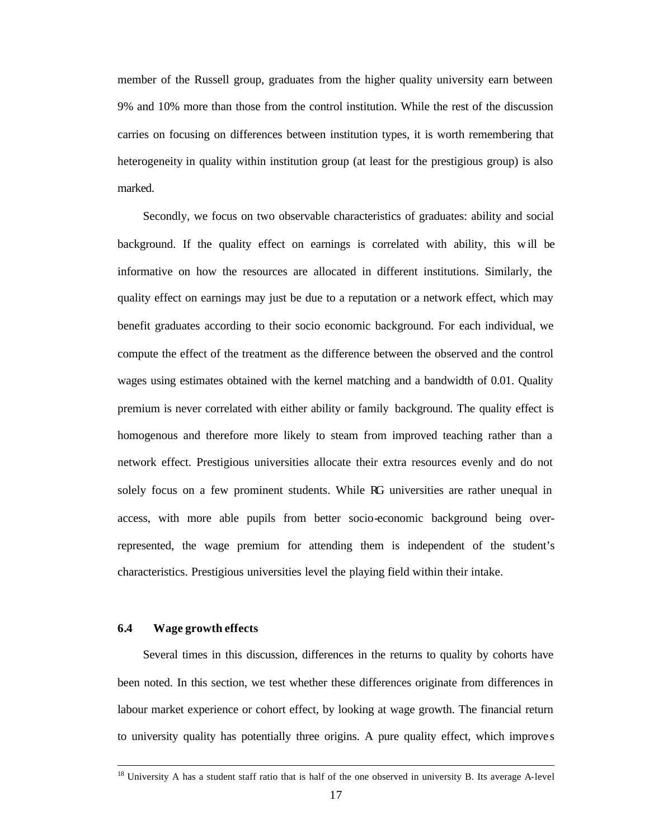member of the Russell group, graduates from the higher quality university earn between 9% and 10% more than those from the control institution. While the rest of the discussion carries on focusing on differences between institution types, it is worth remembering that heterogeneity in quality within institution group (at least for the prestigious group) is also marked.

Secondly, we focus on two observable characteristics of graduates: ability and social background. If the quality effect on earnings is correlated with ability, this w ill be informative on how the resources are allocated in different institutions. Similarly, the quality effect on earnings may just be due to a reputation or a network effect, which may benefit graduates according to their socio economic background. For each individual, we compute the effect of the treatment as the difference between the observed and the control wages using estimates obtained with the kernel matching and a bandwidth of 0.01. Quality premium is never correlated with either ability or family background. The quality effect is homogenous and therefore more likely to steam from improved teaching rather than a network effect. Prestigious universities allocate their extra resources evenly and do not solely focus on a few prominent students. While RG universities are rather unequal in access, with more able pupils from better socio-economic background being overrepresented, the wage premium for attending them is independent of the student's characteristics. Prestigious universities level the playing field within their intake.

#### **6.4 Wage growth effects**

 $\overline{\phantom{a}}$ 

Several times in this discussion, differences in the returns to quality by cohorts have been noted. In this section, we test whether these differences originate from differences in labour market experience or cohort effect, by looking at wage growth. The financial return to university quality has potentially three origins. A pure quality effect, which improve s

<sup>&</sup>lt;sup>18</sup> University A has a student staff ratio that is half of the one observed in university B. Its average A-level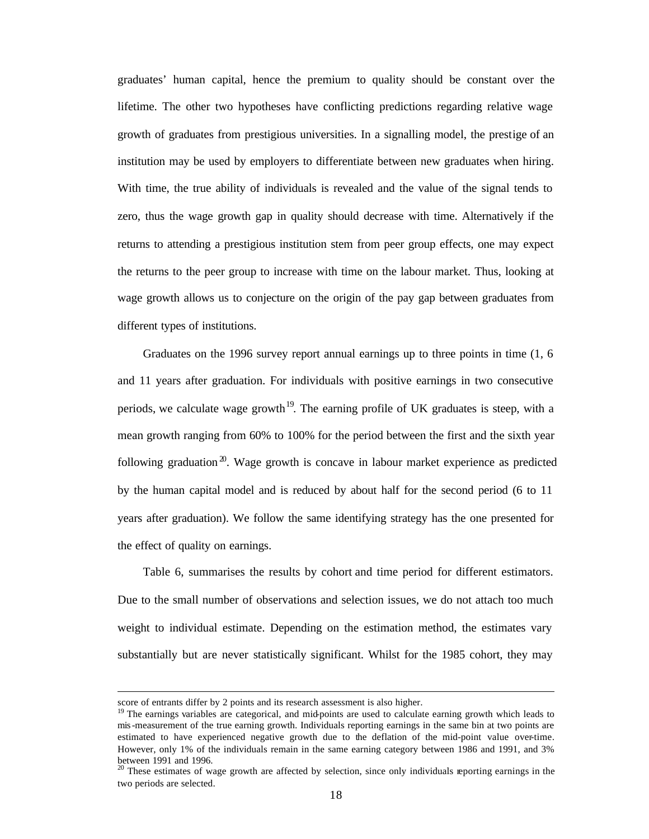graduates' human capital, hence the premium to quality should be constant over the lifetime. The other two hypotheses have conflicting predictions regarding relative wage growth of graduates from prestigious universities. In a signalling model, the prestige of an institution may be used by employers to differentiate between new graduates when hiring. With time, the true ability of individuals is revealed and the value of the signal tends to zero, thus the wage growth gap in quality should decrease with time. Alternatively if the returns to attending a prestigious institution stem from peer group effects, one may expect the returns to the peer group to increase with time on the labour market. Thus, looking at wage growth allows us to conjecture on the origin of the pay gap between graduates from different types of institutions.

Graduates on the 1996 survey report annual earnings up to three points in time (1, 6 and 11 years after graduation. For individuals with positive earnings in two consecutive periods, we calculate wage growth<sup>19</sup>. The earning profile of UK graduates is steep, with a mean growth ranging from 60% to 100% for the period between the first and the sixth year following graduation<sup>20</sup>. Wage growth is concave in labour market experience as predicted by the human capital model and is reduced by about half for the second period (6 to 11 years after graduation). We follow the same identifying strategy has the one presented for the effect of quality on earnings.

Table 6, summarises the results by cohort and time period for different estimators. Due to the small number of observations and selection issues, we do not attach too much weight to individual estimate. Depending on the estimation method, the estimates vary substantially but are never statistically significant. Whilst for the 1985 cohort, they may

 $\overline{a}$ 

score of entrants differ by 2 points and its research assessment is also higher.

<sup>&</sup>lt;sup>19</sup> The earnings variables are categorical, and mid-points are used to calculate earning growth which leads to mis-measurement of the true earning growth. Individuals reporting earnings in the same bin at two points are estimated to have experienced negative growth due to the deflation of the mid-point value over-time. However, only 1% of the individuals remain in the same earning category between 1986 and 1991, and 3% between 1991 and 1996.

<sup>&</sup>lt;sup>20</sup> These estimates of wage growth are affected by selection, since only individuals reporting earnings in the two periods are selected.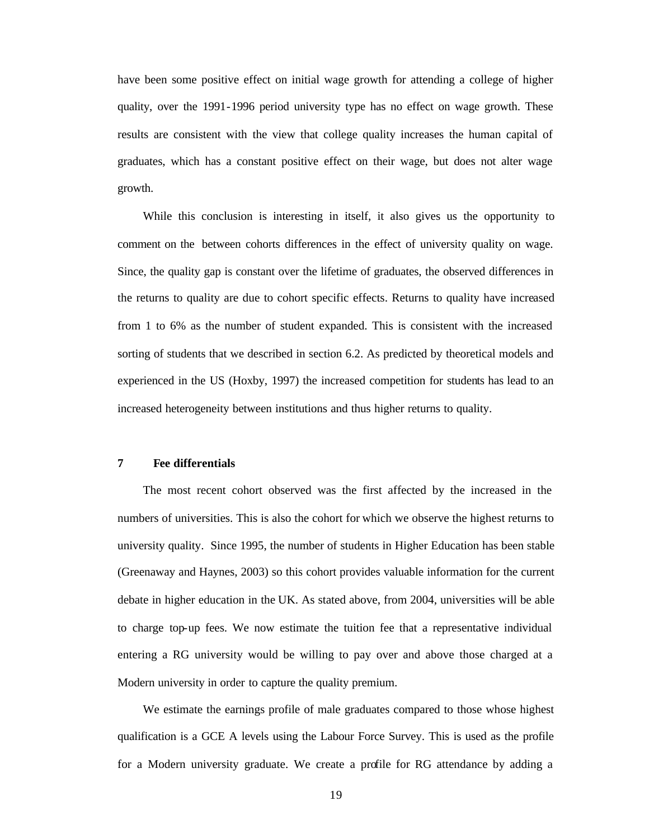have been some positive effect on initial wage growth for attending a college of higher quality, over the 1991-1996 period university type has no effect on wage growth. These results are consistent with the view that college quality increases the human capital of graduates, which has a constant positive effect on their wage, but does not alter wage growth.

While this conclusion is interesting in itself, it also gives us the opportunity to comment on the between cohorts differences in the effect of university quality on wage. Since, the quality gap is constant over the lifetime of graduates, the observed differences in the returns to quality are due to cohort specific effects. Returns to quality have increased from 1 to 6% as the number of student expanded. This is consistent with the increased sorting of students that we described in section 6.2. As predicted by theoretical models and experienced in the US (Hoxby, 1997) the increased competition for students has lead to an increased heterogeneity between institutions and thus higher returns to quality.

#### **7 Fee differentials**

The most recent cohort observed was the first affected by the increased in the numbers of universities. This is also the cohort for which we observe the highest returns to university quality. Since 1995, the number of students in Higher Education has been stable (Greenaway and Haynes, 2003) so this cohort provides valuable information for the current debate in higher education in the UK. As stated above, from 2004, universities will be able to charge top-up fees. We now estimate the tuition fee that a representative individual entering a RG university would be willing to pay over and above those charged at a Modern university in order to capture the quality premium.

We estimate the earnings profile of male graduates compared to those whose highest qualification is a GCE A levels using the Labour Force Survey. This is used as the profile for a Modern university graduate. We create a profile for RG attendance by adding a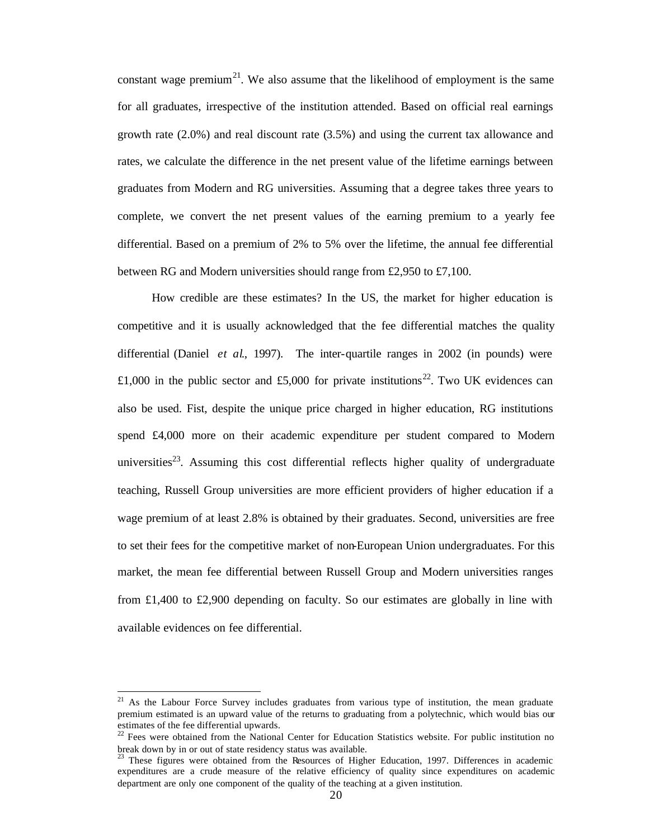constant wage premium<sup>21</sup>. We also assume that the likelihood of employment is the same for all graduates, irrespective of the institution attended. Based on official real earnings growth rate (2.0%) and real discount rate (3.5%) and using the current tax allowance and rates, we calculate the difference in the net present value of the lifetime earnings between graduates from Modern and RG universities. Assuming that a degree takes three years to complete, we convert the net present values of the earning premium to a yearly fee differential. Based on a premium of 2% to 5% over the lifetime, the annual fee differential between RG and Modern universities should range from £2,950 to £7,100.

How credible are these estimates? In the US, the market for higher education is competitive and it is usually acknowledged that the fee differential matches the quality differential (Daniel *et al*., 1997). The inter-quartile ranges in 2002 (in pounds) were £1,000 in the public sector and £5,000 for private institutions<sup>22</sup>. Two UK evidences can also be used. Fist, despite the unique price charged in higher education, RG institutions spend £4,000 more on their academic expenditure per student compared to Modern universities<sup>23</sup>. Assuming this cost differential reflects higher quality of undergraduate teaching, Russell Group universities are more efficient providers of higher education if a wage premium of at least 2.8% is obtained by their graduates. Second, universities are free to set their fees for the competitive market of non-European Union undergraduates. For this market, the mean fee differential between Russell Group and Modern universities ranges from £1,400 to £2,900 depending on faculty. So our estimates are globally in line with available evidences on fee differential.

 $\overline{a}$ 

 $21$  As the Labour Force Survey includes graduates from various type of institution, the mean graduate premium estimated is an upward value of the returns to graduating from a polytechnic, which would bias our estimates of the fee differential upwards.

<sup>&</sup>lt;sup>22</sup> Fees were obtained from the National Center for Education Statistics website. For public institution no break down by in or out of state residency status was available.

<sup>23</sup> These figures were obtained from the Resources of Higher Education, 1997. Differences in academic expenditures are a crude measure of the relative efficiency of quality since expenditures on academic department are only one component of the quality of the teaching at a given institution.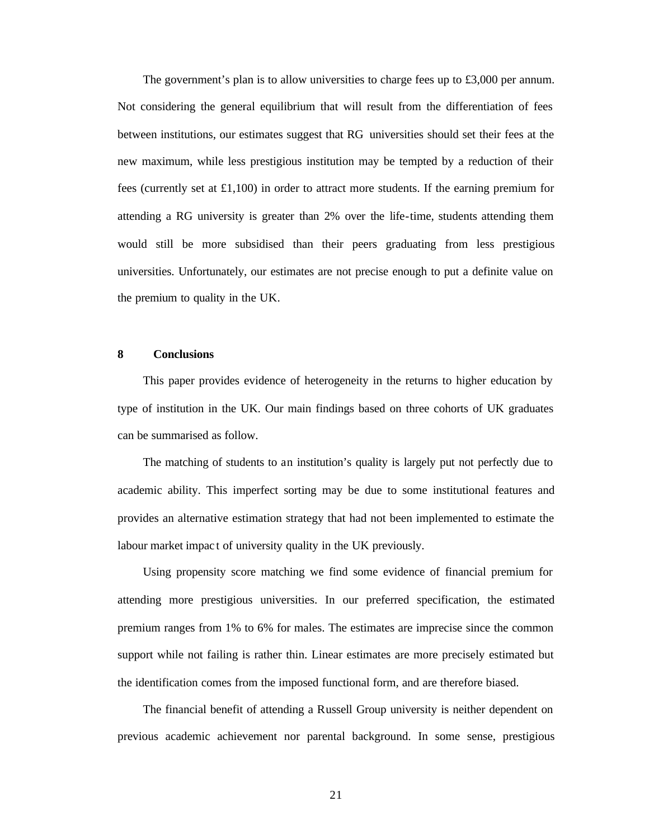The government's plan is to allow universities to charge fees up to £3,000 per annum. Not considering the general equilibrium that will result from the differentiation of fees between institutions, our estimates suggest that RG universities should set their fees at the new maximum, while less prestigious institution may be tempted by a reduction of their fees (currently set at £1,100) in order to attract more students. If the earning premium for attending a RG university is greater than 2% over the life-time, students attending them would still be more subsidised than their peers graduating from less prestigious universities. Unfortunately, our estimates are not precise enough to put a definite value on the premium to quality in the UK.

#### **8 Conclusions**

This paper provides evidence of heterogeneity in the returns to higher education by type of institution in the UK. Our main findings based on three cohorts of UK graduates can be summarised as follow.

The matching of students to an institution's quality is largely put not perfectly due to academic ability. This imperfect sorting may be due to some institutional features and provides an alternative estimation strategy that had not been implemented to estimate the labour market impac t of university quality in the UK previously.

Using propensity score matching we find some evidence of financial premium for attending more prestigious universities. In our preferred specification, the estimated premium ranges from 1% to 6% for males. The estimates are imprecise since the common support while not failing is rather thin. Linear estimates are more precisely estimated but the identification comes from the imposed functional form, and are therefore biased.

The financial benefit of attending a Russell Group university is neither dependent on previous academic achievement nor parental background. In some sense, prestigious

21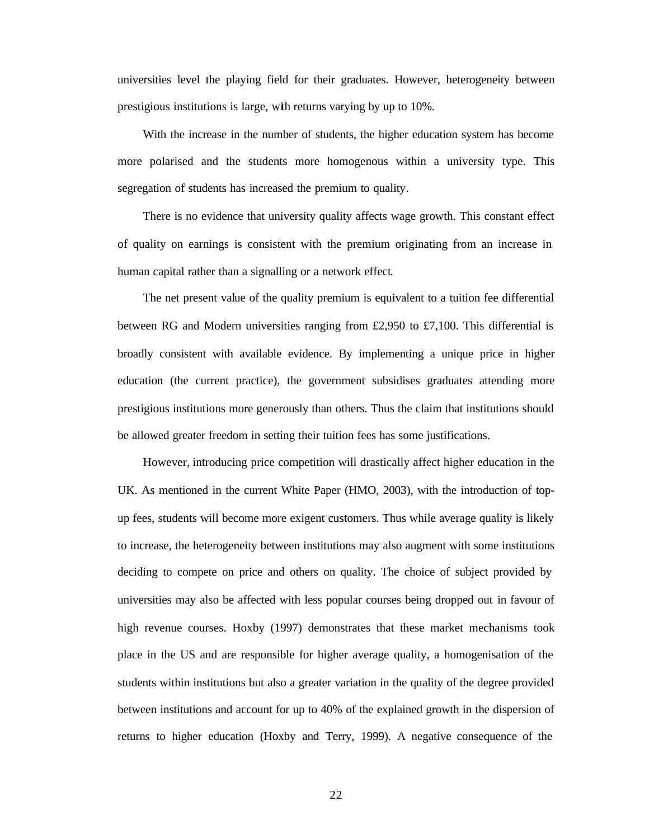universities level the playing field for their graduates. However, heterogeneity between prestigious institutions is large, with returns varying by up to 10%.

With the increase in the number of students, the higher education system has become more polarised and the students more homogenous within a university type. This segregation of students has increased the premium to quality.

There is no evidence that university quality affects wage growth. This constant effect of quality on earnings is consistent with the premium originating from an increase in human capital rather than a signalling or a network effect.

The net present value of the quality premium is equivalent to a tuition fee differential between RG and Modern universities ranging from £2,950 to £7,100. This differential is broadly consistent with available evidence. By implementing a unique price in higher education (the current practice), the government subsidises graduates attending more prestigious institutions more generously than others. Thus the claim that institutions should be allowed greater freedom in setting their tuition fees has some justifications.

However, introducing price competition will drastically affect higher education in the UK. As mentioned in the current White Paper (HMO, 2003), with the introduction of topup fees, students will become more exigent customers. Thus while average quality is likely to increase, the heterogeneity between institutions may also augment with some institutions deciding to compete on price and others on quality. The choice of subject provided by universities may also be affected with less popular courses being dropped out in favour of high revenue courses. Hoxby (1997) demonstrates that these market mechanisms took place in the US and are responsible for higher average quality, a homogenisation of the students within institutions but also a greater variation in the quality of the degree provided between institutions and account for up to 40% of the explained growth in the dispersion of returns to higher education (Hoxby and Terry, 1999). A negative consequence of the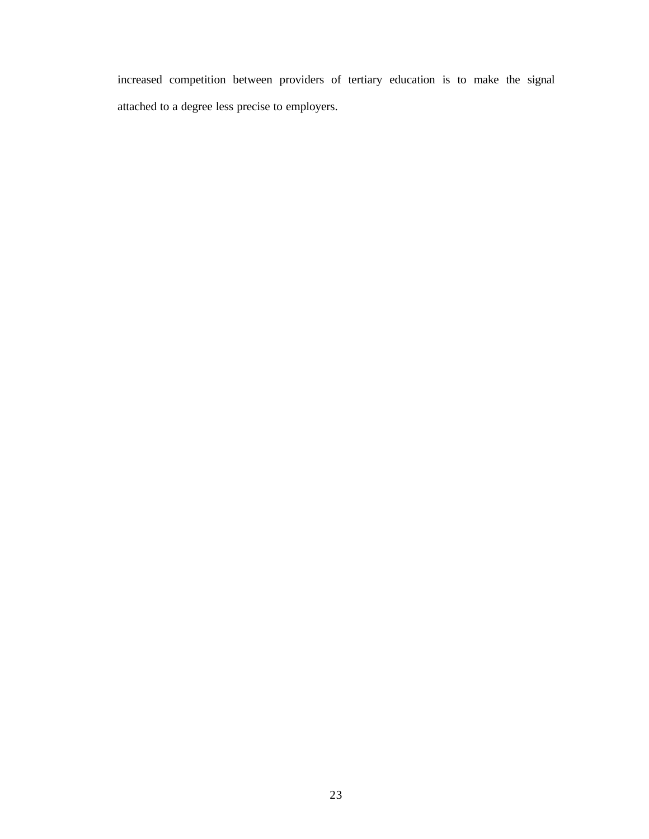increased competition between providers of tertiary education is to make the signal attached to a degree less precise to employers.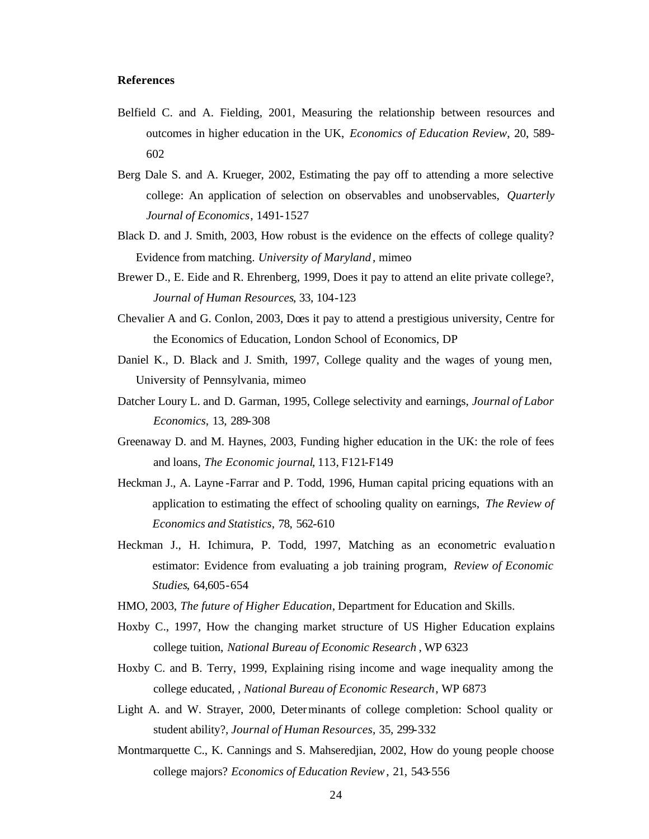#### **References**

- Belfield C. and A. Fielding, 2001, Measuring the relationship between resources and outcomes in higher education in the UK, *Economics of Education Review*, 20, 589- 602
- Berg Dale S. and A. Krueger, 2002, Estimating the pay off to attending a more selective college: An application of selection on observables and unobservables, *Quarterly Journal of Economics*, 1491-1527
- Black D. and J. Smith, 2003, How robust is the evidence on the effects of college quality? Evidence from matching. *University of Maryland* , mimeo
- Brewer D., E. Eide and R. Ehrenberg, 1999, Does it pay to attend an elite private college?, *Journal of Human Resources*, 33, 104-123
- Chevalier A and G. Conlon, 2003, Does it pay to attend a prestigious university, Centre for the Economics of Education, London School of Economics, DP
- Daniel K., D. Black and J. Smith, 1997, College quality and the wages of young men, University of Pennsylvania, mimeo
- Datcher Loury L. and D. Garman, 1995, College selectivity and earnings, *Journal of Labor Economics*, 13, 289-308
- Greenaway D. and M. Haynes, 2003, Funding higher education in the UK: the role of fees and loans, *The Economic journal*, 113, F121-F149
- Heckman J., A. Layne -Farrar and P. Todd, 1996, Human capital pricing equations with an application to estimating the effect of schooling quality on earnings, *The Review of Economics and Statistics*, 78, 562-610
- Heckman J., H. Ichimura, P. Todd, 1997, Matching as an econometric evaluation estimator: Evidence from evaluating a job training program, *Review of Economic Studies*, 64,605-654
- HMO, 2003, *The future of Higher Education*, Department for Education and Skills.
- Hoxby C., 1997, How the changing market structure of US Higher Education explains college tuition, *National Bureau of Economic Research* , WP 6323
- Hoxby C. and B. Terry, 1999, Explaining rising income and wage inequality among the college educated, , *National Bureau of Economic Research*, WP 6873
- Light A. and W. Strayer, 2000, Determinants of college completion: School quality or student ability?, *Journal of Human Resources*, 35, 299-332
- Montmarquette C., K. Cannings and S. Mahseredjian, 2002, How do young people choose college majors? *Economics of Education Review*, 21, 543-556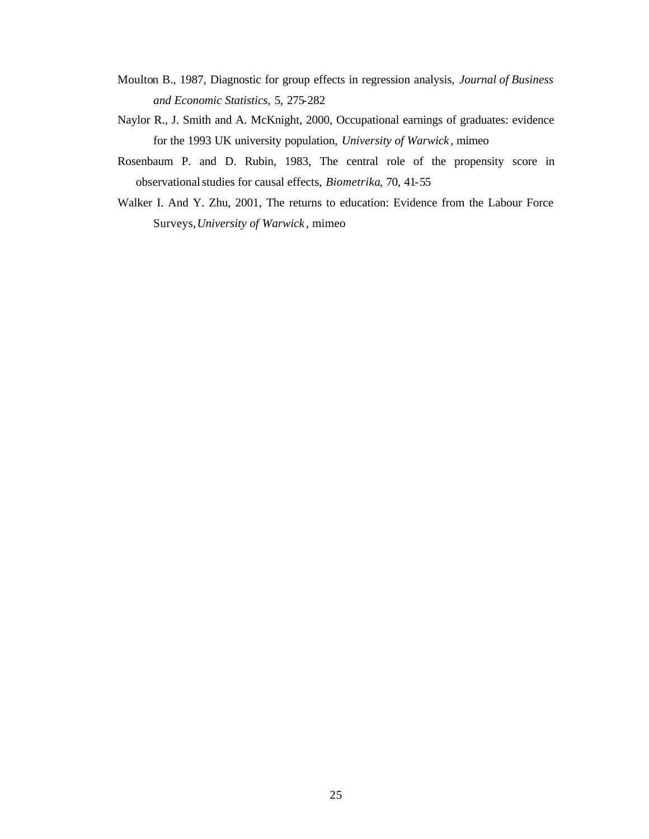- Moulton B., 1987, Diagnostic for group effects in regression analysis, *Journal of Business and Economic Statistics*, 5, 275-282
- Naylor R., J. Smith and A. McKnight, 2000, Occupational earnings of graduates: evidence for the 1993 UK university population, *University of Warwick* , mimeo
- Rosenbaum P. and D. Rubin, 1983, The central role of the propensity score in observationalstudies for causal effects, *Biometrika*, 70, 41-55
- Walker I. And Y. Zhu, 2001, The returns to education: Evidence from the Labour Force Surveys,*University of Warwick* , mimeo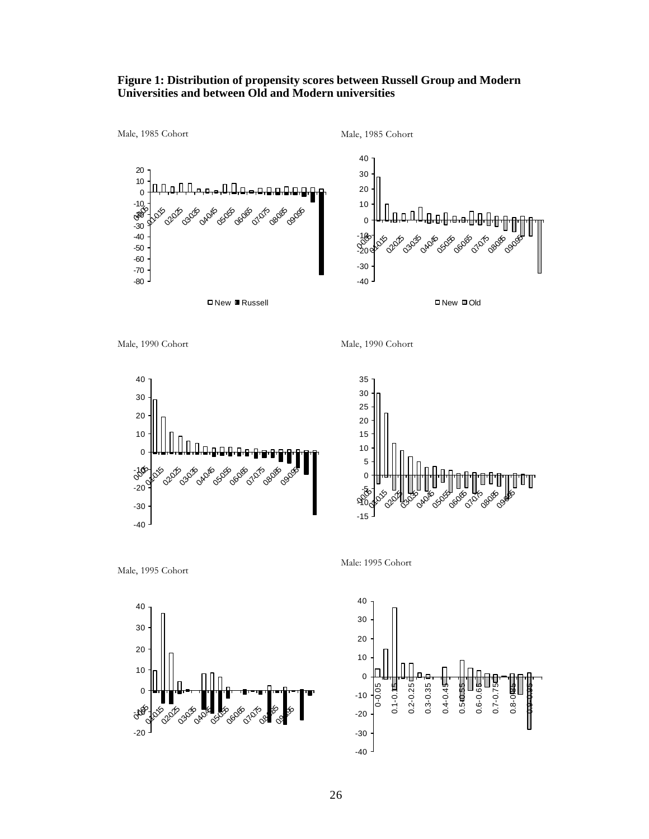#### **Figure 1: Distribution of propensity scores between Russell Group and Modern Universities and between Old and Modern universities**





Male, 1990 Cohort











Male: 1995 Cohort

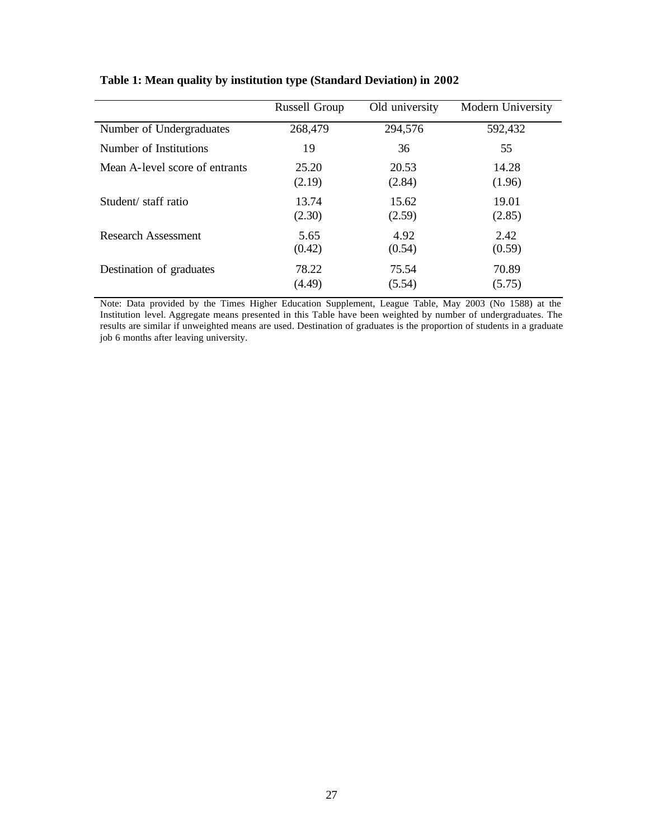|                                | Russell Group | Old university | Modern University |
|--------------------------------|---------------|----------------|-------------------|
| Number of Undergraduates       | 268,479       | 294,576        | 592,432           |
| Number of Institutions         | 19            | 36             | 55                |
| Mean A-level score of entrants | 25.20         | 20.53          | 14.28             |
|                                | (2.19)        | (2.84)         | (1.96)            |
| Student/staff ratio            | 13.74         | 15.62          | 19.01             |
|                                | (2.30)        | (2.59)         | (2.85)            |
| Research Assessment            | 5.65          | 4.92           | 2.42              |
|                                | (0.42)        | (0.54)         | (0.59)            |
| Destination of graduates       | 78.22         | 75.54          | 70.89             |
|                                | (4.49)        | (5.54)         | (5.75)            |

**Table 1: Mean quality by institution type (Standard Deviation) in 2002**

Note: Data provided by the Times Higher Education Supplement, League Table, May 2003 (No 1588) at the Institution level. Aggregate means presented in this Table have been weighted by number of undergraduates. The results are similar if unweighted means are used. Destination of graduates is the proportion of students in a graduate job 6 months after leaving university.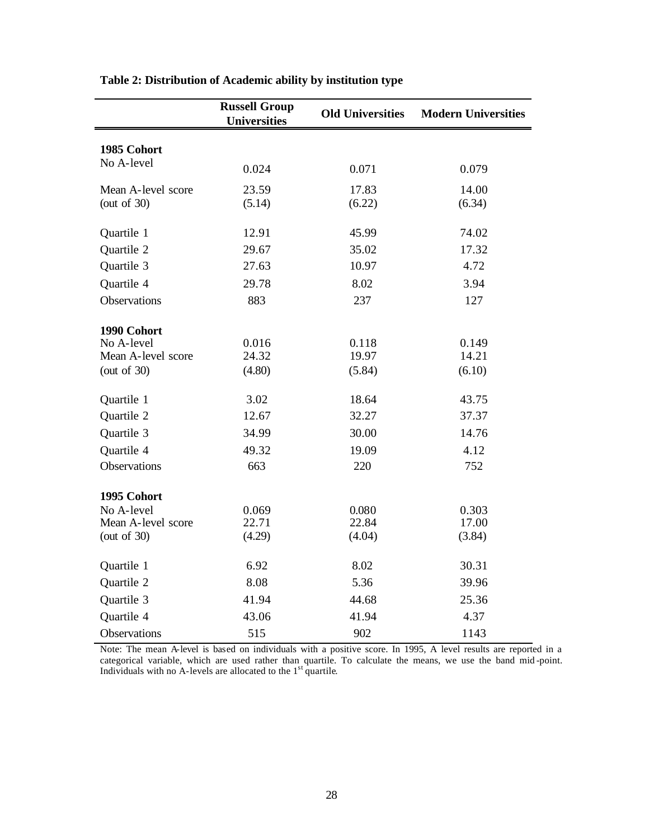|                    | <b>Russell Group</b><br><b>Universities</b> | <b>Old Universities</b> | <b>Modern Universities</b> |
|--------------------|---------------------------------------------|-------------------------|----------------------------|
| 1985 Cohort        |                                             |                         |                            |
| No A-level         |                                             |                         |                            |
|                    | 0.024                                       | 0.071                   | 0.079                      |
| Mean A-level score | 23.59                                       | 17.83                   | 14.00                      |
| (out of $30$ )     | (5.14)                                      | (6.22)                  | (6.34)                     |
| Quartile 1         | 12.91                                       | 45.99                   | 74.02                      |
| Quartile 2         | 29.67                                       | 35.02                   | 17.32                      |
| Quartile 3         | 27.63                                       | 10.97                   | 4.72                       |
| Quartile 4         | 29.78                                       | 8.02                    | 3.94                       |
| Observations       | 883                                         | 237                     | 127                        |
| 1990 Cohort        |                                             |                         |                            |
| No A-level         | 0.016                                       | 0.118                   | 0.149                      |
| Mean A-level score | 24.32                                       | 19.97                   | 14.21                      |
| (out of $30$ )     | (4.80)                                      | (5.84)                  | (6.10)                     |
| Quartile 1         | 3.02                                        | 18.64                   | 43.75                      |
| Quartile 2         | 12.67                                       | 32.27                   | 37.37                      |
| Quartile 3         | 34.99                                       | 30.00                   | 14.76                      |
| Quartile 4         | 49.32                                       | 19.09                   | 4.12                       |
| Observations       | 663                                         | 220                     | 752                        |
| 1995 Cohort        |                                             |                         |                            |
| No A-level         | 0.069                                       | 0.080                   | 0.303                      |
| Mean A-level score | 22.71                                       | 22.84                   | 17.00                      |
| (out of $30$ )     | (4.29)                                      | (4.04)                  | (3.84)                     |
| Quartile 1         | 6.92                                        | 8.02                    | 30.31                      |
| Quartile 2         | 8.08                                        | 5.36                    | 39.96                      |
| Quartile 3         | 41.94                                       | 44.68                   | 25.36                      |
| Quartile 4         | 43.06                                       | 41.94                   | 4.37                       |
| Observations       | 515                                         | 902                     | 1143                       |

#### **Table 2: Distribution of Academic ability by institution type**

Note: The mean A-level is based on individuals with a positive score. In 1995, A level results are reported in a categorical variable, which are used rather than quartile. To calculate the means, we use the band mid -point. Individuals with no A-levels are allocated to the  $1<sup>st</sup>$  quartile.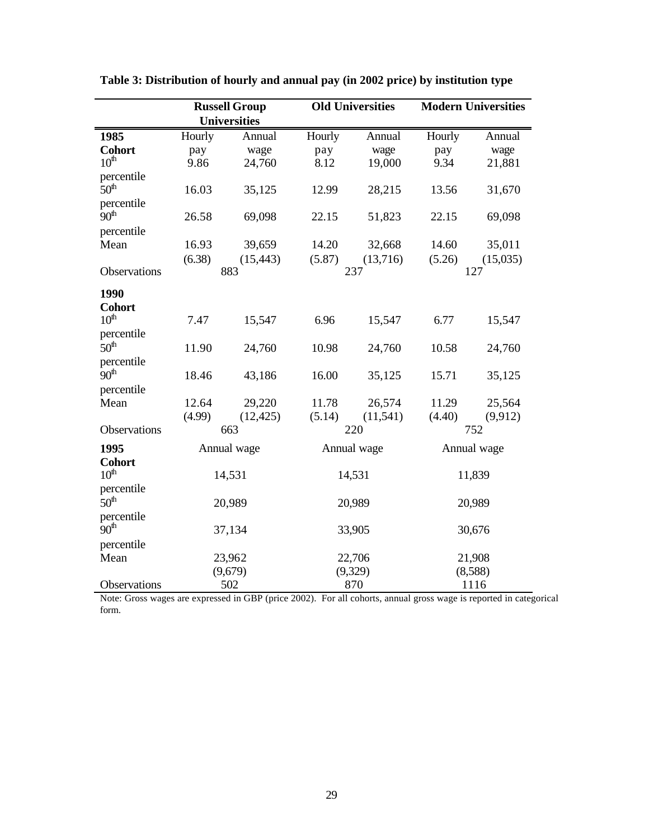|                  |        | <b>Russell Group</b> |        | <b>Old Universities</b> |        | <b>Modern Universities</b> |
|------------------|--------|----------------------|--------|-------------------------|--------|----------------------------|
|                  |        | <b>Universities</b>  |        |                         |        |                            |
| 1985             | Hourly | Annual               | Hourly | Annual                  | Hourly | Annual                     |
| <b>Cohort</b>    | pay    | wage                 | pay    | wage                    | pay    | wage                       |
| $10^{\text{th}}$ | 9.86   | 24,760               | 8.12   | 19,000                  | 9.34   | 21,881                     |
| percentile       |        |                      |        |                         |        |                            |
| 50 <sup>th</sup> | 16.03  | 35,125               | 12.99  | 28,215                  | 13.56  | 31,670                     |
| percentile       |        |                      |        |                         |        |                            |
| 90 <sup>th</sup> | 26.58  | 69,098               | 22.15  | 51,823                  | 22.15  | 69,098                     |
| percentile       |        |                      |        |                         |        |                            |
| Mean             | 16.93  | 39,659               | 14.20  | 32,668                  | 14.60  | 35,011                     |
|                  | (6.38) | (15, 443)            | (5.87) | (13,716)                | (5.26) | (15,035)                   |
| Observations     |        | 883                  |        | 237                     |        | 127                        |
| 1990             |        |                      |        |                         |        |                            |
| <b>Cohort</b>    |        |                      |        |                         |        |                            |
| 10 <sup>th</sup> | 7.47   | 15,547               | 6.96   | 15,547                  | 6.77   | 15,547                     |
| percentile       |        |                      |        |                         |        |                            |
| 50 <sup>th</sup> | 11.90  | 24,760               | 10.98  | 24,760                  | 10.58  | 24,760                     |
| percentile       |        |                      |        |                         |        |                            |
| 90 <sup>th</sup> | 18.46  | 43,186               | 16.00  | 35,125                  | 15.71  | 35,125                     |
| percentile       |        |                      |        |                         |        |                            |
| Mean             | 12.64  | 29,220               | 11.78  | 26,574                  | 11.29  | 25,564                     |
|                  | (4.99) | (12, 425)            | (5.14) | (11, 541)               | (4.40) | (9,912)                    |
| Observations     |        | 663                  |        | 220                     |        | 752                        |
| 1995             |        | Annual wage          |        | Annual wage             |        | Annual wage                |
| <b>Cohort</b>    |        |                      |        |                         |        |                            |
| 10 <sup>th</sup> |        | 14,531               |        | 14,531                  |        | 11,839                     |
| percentile       |        |                      |        |                         |        |                            |
| 50 <sup>th</sup> |        | 20,989               |        | 20,989                  |        | 20,989                     |
| percentile       |        |                      |        |                         |        |                            |
| 90 <sup>th</sup> |        | 37,134               |        | 33,905                  |        | 30,676                     |
| percentile       |        |                      |        |                         |        |                            |
| Mean             |        | 23,962               |        | 22,706                  |        | 21,908                     |
|                  |        | (9,679)              |        | (9,329)                 |        | (8,588)                    |
| Observations     | 502    |                      | 870    |                         | 1116   |                            |

**Table 3: Distribution of hourly and annual pay (in 2002 price) by institution type** 

Note: Gross wages are expressed in GBP (price 2002). For all cohorts, annual gross wage is reported in categorical form.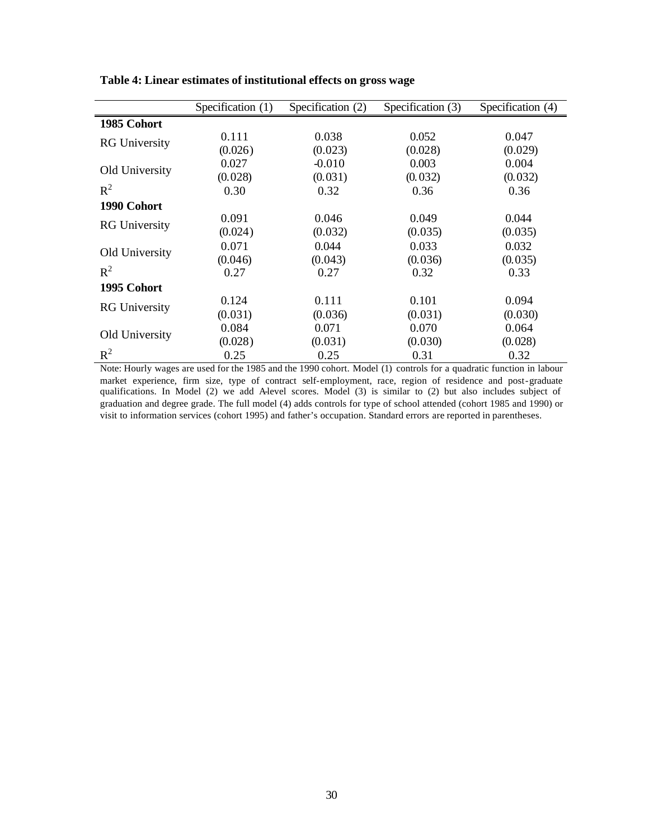|                      | Specification (1) | Specification (2) | Specification (3) | Specification (4) |
|----------------------|-------------------|-------------------|-------------------|-------------------|
| 1985 Cohort          |                   |                   |                   |                   |
|                      | 0.111             | 0.038             | 0.052             | 0.047             |
| <b>RG</b> University | (0.026)           | (0.023)           | (0.028)           | (0.029)           |
| Old University       | 0.027             | $-0.010$          | 0.003             | 0.004             |
|                      | (0.028)           | (0.031)           | (0.032)           | (0.032)           |
| $R^2$                | 0.30              | 0.32              | 0.36              | 0.36              |
| 1990 Cohort          |                   |                   |                   |                   |
| <b>RG</b> University | 0.091             | 0.046             | 0.049             | 0.044             |
|                      | (0.024)           | (0.032)           | (0.035)           | (0.035)           |
| Old University       | 0.071             | 0.044             | 0.033             | 0.032             |
|                      | (0.046)           | (0.043)           | (0.036)           | (0.035)           |
| $R^2$                | 0.27              | 0.27              | 0.32              | 0.33              |
| 1995 Cohort          |                   |                   |                   |                   |
|                      | 0.124             | 0.111             | 0.101             | 0.094             |
| <b>RG</b> University | (0.031)           | (0.036)           | (0.031)           | (0.030)           |
| Old University       | 0.084             | 0.071             | 0.070             | 0.064             |
|                      | (0.028)           | (0.031)           | (0.030)           | (0.028)           |
| $R^2$                | 0.25              | 0.25              | 0.31              | 0.32              |

**Table 4: Linear estimates of institutional effects on gross wage**

Note: Hourly wages are used for the 1985 and the 1990 cohort. Model (1) controls for a quadratic function in labour market experience, firm size, type of contract self-employment, race, region of residence and post-graduate qualifications. In Model (2) we add A-level scores. Model (3) is similar to (2) but also includes subject of graduation and degree grade. The full model (4) adds controls for type of school attended (cohort 1985 and 1990) or visit to information services (cohort 1995) and father's occupation. Standard errors are reported in parentheses.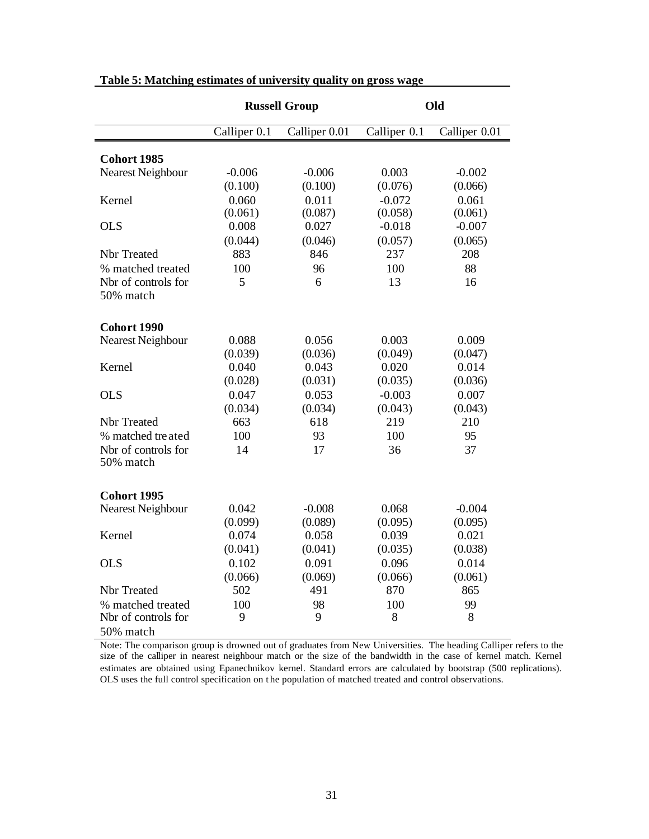|                                  | <b>Russell Group</b> |               | Old          |               |  |
|----------------------------------|----------------------|---------------|--------------|---------------|--|
|                                  | Calliper 0.1         | Calliper 0.01 | Calliper 0.1 | Calliper 0.01 |  |
| <b>Cohort 1985</b>               |                      |               |              |               |  |
| Nearest Neighbour                | $-0.006$             | $-0.006$      | 0.003        | $-0.002$      |  |
|                                  | (0.100)              | (0.100)       | (0.076)      | (0.066)       |  |
| Kernel                           | 0.060                | 0.011         | $-0.072$     | 0.061         |  |
|                                  | (0.061)              | (0.087)       | (0.058)      | (0.061)       |  |
| <b>OLS</b>                       | 0.008                | 0.027         | $-0.018$     | $-0.007$      |  |
|                                  | (0.044)              | (0.046)       | (0.057)      | (0.065)       |  |
| Nbr Treated                      | 883                  | 846           | 237          | 208           |  |
| % matched treated                | 100                  | 96            | 100          | 88            |  |
| Nbr of controls for<br>50% match | 5                    | 6             | 13           | 16            |  |
| <b>Cohort 1990</b>               |                      |               |              |               |  |
| Nearest Neighbour                | 0.088                | 0.056         | 0.003        | 0.009         |  |
|                                  | (0.039)              | (0.036)       | (0.049)      | (0.047)       |  |
| Kernel                           | 0.040                | 0.043         | 0.020        | 0.014         |  |
|                                  | (0.028)              | (0.031)       | (0.035)      | (0.036)       |  |
| <b>OLS</b>                       | 0.047                | 0.053         | $-0.003$     | 0.007         |  |
|                                  | (0.034)              | (0.034)       | (0.043)      | (0.043)       |  |
| Nbr Treated                      | 663                  | 618           | 219          | 210           |  |
| % matched treated                | 100                  | 93            | 100          | 95            |  |
| Nbr of controls for<br>50% match | 14                   | 17            | 36           | 37            |  |
| Cohort 1995                      |                      |               |              |               |  |
| <b>Nearest Neighbour</b>         | 0.042                | $-0.008$      | 0.068        | $-0.004$      |  |
|                                  | (0.099)              | (0.089)       | (0.095)      | (0.095)       |  |
| Kernel                           | 0.074                | 0.058         | 0.039        | 0.021         |  |
|                                  | (0.041)              | (0.041)       | (0.035)      | (0.038)       |  |
| <b>OLS</b>                       | 0.102                | 0.091         | 0.096        | 0.014         |  |
|                                  | (0.066)              | (0.069)       | (0.066)      | (0.061)       |  |
| Nbr Treated                      | 502                  | 491           | 870          | 865           |  |
| % matched treated                | 100                  | 98            | 100          | 99            |  |
| Nbr of controls for              | 9                    | 9             | 8            | 8             |  |
| 50% match                        |                      |               |              |               |  |

#### **Table 5: Matching estimates of university quality on gross wage**

Note: The comparison group is drowned out of graduates from New Universities. The heading Calliper refers to the size of the calliper in nearest neighbour match or the size of the bandwidth in the case of kernel match. Kernel estimates are obtained using Epanechnikov kernel. Standard errors are calculated by bootstrap (500 replications). OLS uses the full control specification on the population of matched treated and control observations.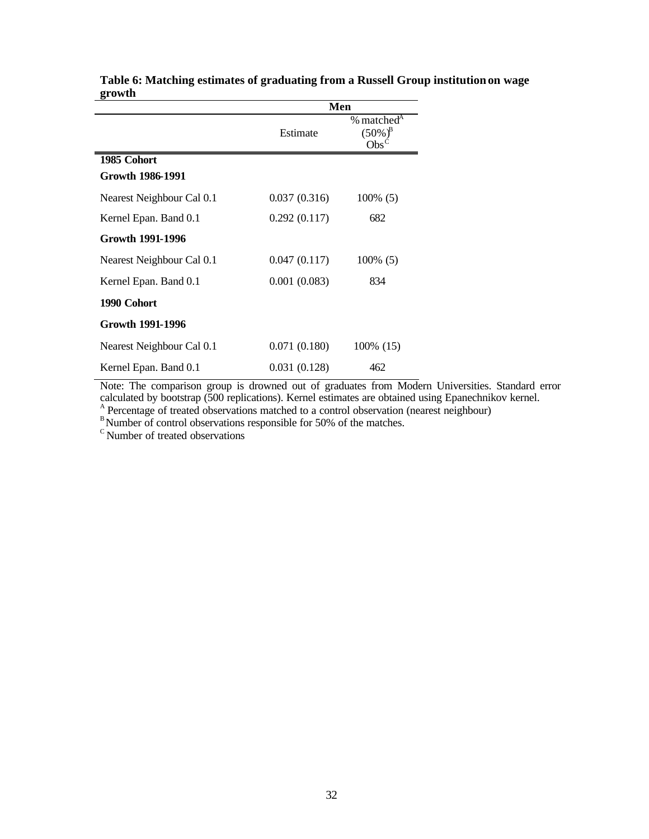|                                 |              | Men                                                                     |  |  |
|---------------------------------|--------------|-------------------------------------------------------------------------|--|--|
|                                 | Estimate     | % matched <sup>A</sup><br>$(50\%)^{\rm B}$<br>$\mathrm{Obs}^\mathrm{C}$ |  |  |
| 1985 Cohort<br>Growth 1986-1991 |              |                                                                         |  |  |
| Nearest Neighbour Cal 0.1       | 0.037(0.316) | $100\%$ (5)                                                             |  |  |
| Kernel Epan. Band 0.1           | 0.292(0.117) | 682                                                                     |  |  |
| <b>Growth 1991-1996</b>         |              |                                                                         |  |  |
| Nearest Neighbour Cal 0.1       | 0.047(0.117) | $100\%$ (5)                                                             |  |  |
| Kernel Epan. Band 0.1           | 0.001(0.083) | 834                                                                     |  |  |
| 1990 Cohort                     |              |                                                                         |  |  |
| <b>Growth 1991-1996</b>         |              |                                                                         |  |  |
| Nearest Neighbour Cal 0.1       | 0.071(0.180) | 100% (15)                                                               |  |  |
| Kernel Epan. Band 0.1           | 0.031(0.128) | 462                                                                     |  |  |

**Table 6: Matching estimates of graduating from a Russell Group institution on wage growth**

Note: The comparison group is drowned out of graduates from Modern Universities. Standard error calculated by bootstrap (500 replications). Kernel estimates are obtained using Epanechnikov kernel. A Percentage of treated observations matched to a control observation (nearest neighbour)

 $^{\text{B}}$ Number of control observations responsible for 50% of the matches.<br>C Number of treated observations